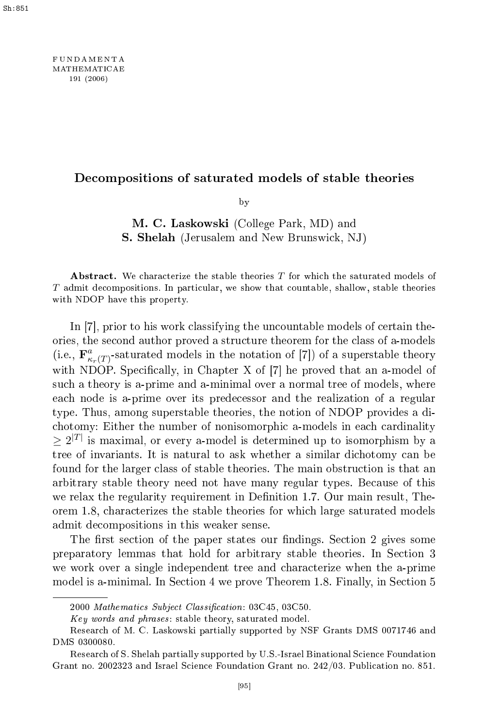FUNDAM EN TA MATHEMATICAE <sup>191</sup> (2006)

# De
ompositions of saturated models of stable theories

by  $\overline{\phantom{a}}$ 

M. C. Laskowski (College Park, MD) and S. Shelah (Jerusalem and New Brunswi
k, NJ)

Abstract. We characterize the stable theories  $T$  for which the saturated models of T admit decompositions. In particular, we show that countable, shallow, stable theories with NDOP have this property.

In  $[7]$ , prior to his work classifying the uncountable models of certain theories, the se
ond author proved a stru
ture theorem for the lass of a-models (i.e.,  $\mathbf{F}^a_{\kappa_r(T)}$ -saturated models in the notation of [7]) of a superstable theory with NDOP. Specifically, in Chapter X of  $[7]$  he proved that an a-model of su
h a theory is a-prime and a-minimal over a normal tree of models, where ea
h node is a-prime over its prede
essor and the realization of a regular type. Thus, among superstable theories, the notion of NDOP provides a di chotomy: Either the number of nonisomorphic a-models in each cardinality  $\geq 2^{|T|}$  is maximal, or every a-model is determined up to isomorphism by a tree of invariants. It is natural to ask whether a similar dichotomy can be found for the larger lass of stable theories. The main obstru
tion is that an arbitrary stable theory need not have many regular types. Be
ause of this we relax the regularity requirement in Definition 1.7. Our main result, Theorem 1.8, hara
terizes the stable theories for whi
h large saturated models admit de
ompositions in this weaker sense.

The first section of the paper states our findings. Section 2 gives some preparatory lemmas that hold for arbitrary stable theories. In Se
tion 3 we work over a single independent tree and characterize when the a-prime model is a-minimal. In Section 4 we prove Theorem 1.8. Finally, in Section 5

<sup>2000</sup> Mathematics Subject Classification: 03C45, 03C50.

Key words and phrases: stable theory, saturated model.

Resear
h of M. C. Laskowski partially supported by NSF Grants DMS 0071746 and DMS 0300080.

Research of S. Shelah partially supported by U.S.-Israel Binational Science Foundation Grant no. 2002323 and Israel S
ien
e Foundation Grant no. 242/03. Publi
ation no. 851.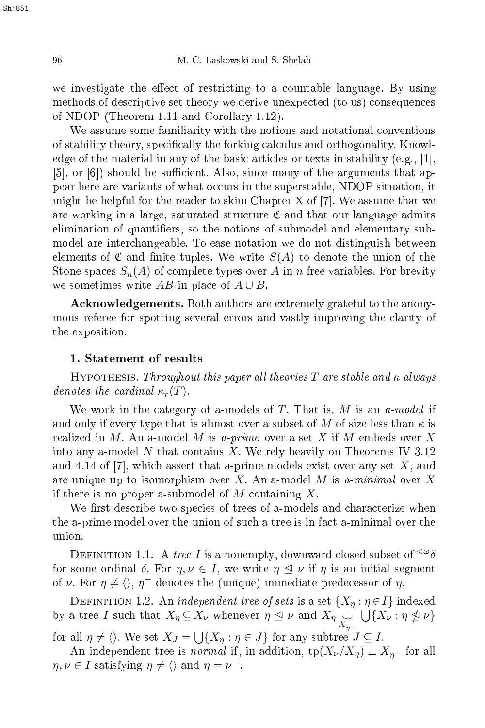we investigate the effect of restricting to a countable language. By using methods of des
riptive set theory we derive unexpe
ted (to us) onsequen
es of NDOP (Theorem 1.11 and Corollary 1.12).

We assume some familiarity with the notions and notational conventions of stability theory, specifically the forking calculus and orthogonality. Knowledge of the material in any of the basic articles or texts in stability (e.g., [1],  $[5]$ , or  $[6]$ ) should be sufficient. Also, since many of the arguments that appear here are variants of what occurs in the superstable, NDOP situation, it might be helpful for the reader to skim Chapter X of  $[7]$ . We assume that we are working in a large, saturated structure  ${\mathfrak C}$  and that our language admits elimination of quantifiers, so the notions of submodel and elementary submodel are inter
hangeable. To ease notation we do not distinguish between elements of  $\mathfrak C$  and finite tuples. We write  $S(A)$  to denote the union of the Stone spaces  $S_n(A)$  of complete types over A in n free variables. For brevity we sometimes write AB in place of  $A \cup B$ .

Acknowledgements. Both authors are extremely grateful to the anonymous referee for spotting several errors and vastly improving the larity of the exposition.

## 1. Statement of results

HYPOTHESIS. Throughout this paper all theories T are stable and  $\kappa$  always denotes the cardinal  $\kappa_r(T)$ .

We work in the category of a-models of  $T$ . That is,  $M$  is an a-model if and only if every type that is almost over a subset of M of size less than  $\kappa$  is realized in M. An a-model M is a-prime over a set X if M embeds over X into any a-model N that contains X. We rely heavily on Theorems IV 3.12 and 4.14 of  $[7]$ , which assert that a-prime models exist over any set X, and are unique up to isomorphism over X. An a-model M is a-minimal over X if there is no proper a submodel of M containing X.

We first describe two species of trees of a-models and characterize when the a-prime model over the union of such a tree is in fact a-minimal over the union.

DEFINITION 1.1. A tree I is a nonempty, downward closed subset of  $\omega_{\delta}$ for some ordinal  $\delta$ . For  $\eta, \nu \in I$ , we write  $\eta \leq \nu$  if  $\eta$  is an initial segment of  $\nu$ . For  $\eta \neq \langle \rangle$ ,  $\eta^-$  denotes the (unique) immediate predecessor of  $\eta$ .

DEFINITION 1.2. An *independent tree of sets* is a set  $\{X_\eta : \eta \in I\}$  indexed by a tree I such that  $X_{\eta} \subseteq X_{\nu}$  whenever  $\eta \leq \nu$  and  $X_{\eta} \cup \bigcup_{X_{\eta}} \bigcup_{\eta} \{X_{\nu} : \eta \nleq \nu\}$ for all  $\eta \neq \langle \rangle$ . We set  $X_J = \bigcup \{ X_\eta : \eta \in J \}$  for any subtree  $J \subseteq I$ .

An independent tree is *normal* if, in addition,  $tp(X_\nu/X_\eta) \perp X_{\eta^-}$  for all  $\eta, \nu \in I$  satisfying  $\eta \neq \langle \rangle$  and  $\eta = \nu^{-}$ .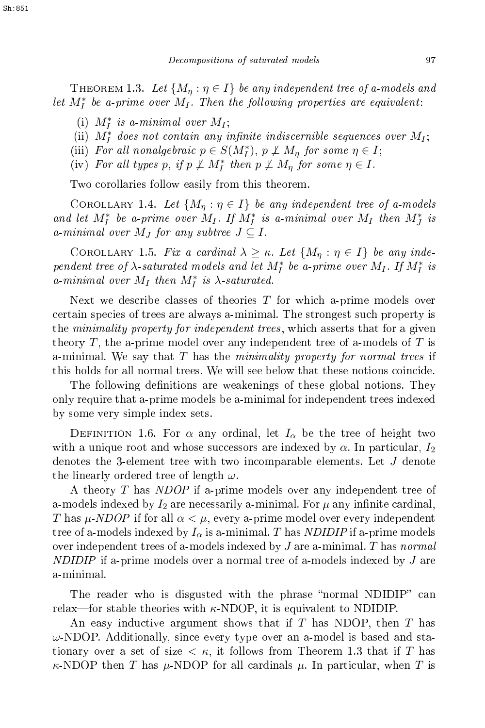THEOREM 1.3. Let  $\{M_n : \eta \in I\}$  be any independent tree of a-models and let  $M_I^*$  be a-prime over  $M_I$ . Then the following properties are equivalent:

- (i)  $M_I^*$  is a-minimal over  $M_I$ ;
- (ii)  $M_I^*$  does not contain any infinite indiscernible sequences over  $M_I$ ;
- (iii) For all nonalgebraic  $p \in S(M_I^*), p \nperp M_\eta$  for some  $\eta \in I$ ;
- (iv) For all types p, if  $p \not\perp M_I^*$  then  $p \not\perp M_\eta$  for some  $\eta \in I$ .

Two orollaries follow easily from this theorem.

COROLLARY 1.4. Let  $\{M_n : \eta \in I\}$  be any independent tree of a-models and let  $M_I^*$  be a-prime over  $M_I$ . If  $M_I^*$  is a-minimal over  $M_I$  then  $M_J^*$  is a-minimal over  $M_J$  for any subtree  $J \subseteq I$ .

COROLLARY 1.5. Fix a cardinal  $\lambda \geq \kappa$ . Let  $\{M_{\eta} : \eta \in I\}$  be any independent tree of  $\lambda$ -saturated models and let  $M_I^*$  be a-prime over  $M_I$ . If  $M_I^*$  is a-minimal over  $M_I$  then  $M_I^*$  is  $\lambda$ -saturated.

Next we describe classes of theories  $T$  for which a-prime models over ertain spe
ies of trees are always a-minimal. The strongest su
h property is the *minimality property for independent trees*, which asserts that for a given theory T, the a-prime model over any independent tree of a-models of T is a-minimal. We say that T has the minimality property for normal trees if this holds for all normal trees. We will see below that these notions coincide.

The following definitions are weakenings of these global notions. They only require that a-prime models be a-minimal for independent trees indexed by some very simple index sets.

DEFINITION 1.6. For  $\alpha$  any ordinal, let  $I_{\alpha}$  be the tree of height two with a unique root and whose successors are indexed by  $\alpha$ . In particular,  $I_2$ denotes the 3-element tree with two in
omparable elements. Let J denote the linearly ordered tree of length  $\omega$ .

A theory T has NDOP if a-prime models over any independent tree of a-models indexed by  $I_2$  are necessarily a-minimal. For  $\mu$  any infinite cardinal, T has  $\mu$ -NDOP if for all  $\alpha < \mu$ , every a-prime model over every independent tree of a-models indexed by  $I_{\alpha}$  is a-minimal. T has NDIDIP if a-prime models over independent trees of a-models indexed by  $J$  are a-minimal. T has normal  $NDIDIP$  if a-prime models over a normal tree of a-models indexed by  $J$  are a-minimal.

The reader who is disgusted with the phrase "normal NDIDIP" can relax—for stable theories with  $\kappa$ -NDOP, it is equivalent to NDIDIP.

An easy inductive argument shows that if T has NDOP, then T has  $\omega$ -NDOP. Additionally, since every type over an a-model is based and stationary over a set of size  $\lt \kappa$ , it follows from Theorem 1.3 that if T has  $\kappa$ -NDOP then T has  $\mu$ -NDOP for all cardinals  $\mu$ . In particular, when T is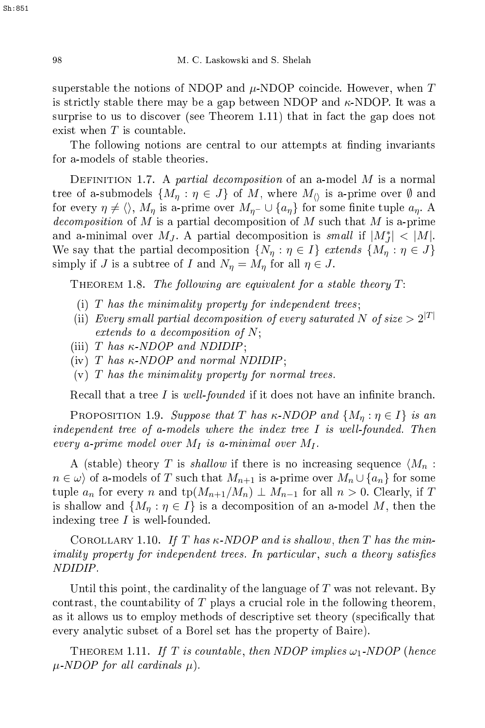superstable the notions of NDOP and  $\mu$ -NDOP coincide. However, when T is strictly stable there may be a gap between NDOP and  $\kappa$ -NDOP. It was a surprise to us to discover (see Theorem 1.11) that in fact the gap does not exist when  $T$  is countable.

The following notions are central to our attempts at finding invariants

DEFINITION 1.7. A partial decomposition of an a-model M is a normal tree of a-submodels  $\{M_n : \eta \in J\}$  of M, where  $M_{\Diamond}$  is a-prime over  $\emptyset$  and for every  $\eta \neq \langle \rangle$ ,  $M_{\eta}$  is a-prime over  $M_{\eta^-} \cup \{a_{\eta}\}\$ for some finite tuple  $a_{\eta}$ . A *decomposition* of M is a partial decomposition of M such that M is a-prime and a-minimal over  $M_J$ . A partial decomposition is small if  $|M_J^*| < |M|$ . We say that the partial decomposition  $\{N_{\eta} : \eta \in I\}$  extends  $\{M_{\eta} : \eta \in J\}$ simply if J is a subtree of I and  $N_{\eta} = M_{\eta}$  for all  $\eta \in J$ .

THEOREM 1.8. The following are equivalent for a stable theory  $T$ :

- (i)  $T$  has the minimality property for independent trees;
- (ii) Every small partial decomposition of every saturated N of size  $> 2^{|T|}$ extends to a decomposition of  $N$ ;
- (iii) T has  $\kappa$ -NDOP and NDIDIP;
- (iv) T has  $\kappa$ -NDOP and normal NDIDIP;
- $(v)$  T has the minimality property for normal trees.

Recall that a tree  $I$  is well-founded if it does not have an infinite branch.

PROPOSITION 1.9. Suppose that T has  $\kappa$ -NDOP and  $\{M_{\eta} : \eta \in I\}$  is an independent tree of a-models where the index tree  $I$  is well-founded. Then every a-prime model over  $M_I$  is a-minimal over  $M_I$ .

A (stable) theory T is shallow if there is no increasing sequence  $\langle M_n :$  $n \in \omega$  of a-models of T such that  $M_{n+1}$  is a-prime over  $M_n \cup \{a_n\}$  for some tuple  $a_n$  for every n and tp( $M_{n+1}/M_n$ )  $\perp$   $M_{n-1}$  for all  $n > 0$ . Clearly, if T is shallow and  $\{M_{\eta} : \eta \in I\}$  is a decomposition of an a-model M, then the indexing tree  $I$  is well-founded.

COROLLARY 1.10. If T has  $\kappa$ -NDOP and is shallow, then T has the minimality property for independent trees. In parti
ular , su
h <sup>a</sup> theory satises

Until this point, the cardinality of the language of  $T$  was not relevant. By contrast, the countability of  $T$  plays a crucial role in the following theorem, as it allows us to employ methods of descriptive set theory (specifically that every analytic subset of a Borel set has the property of Baire).

THEOREM 1.11. If T is countable, then NDOP implies  $\omega_1$ -NDOP (hence  $\mu$ -NDOP for all cardinals  $\mu$ ).

98

Sh:851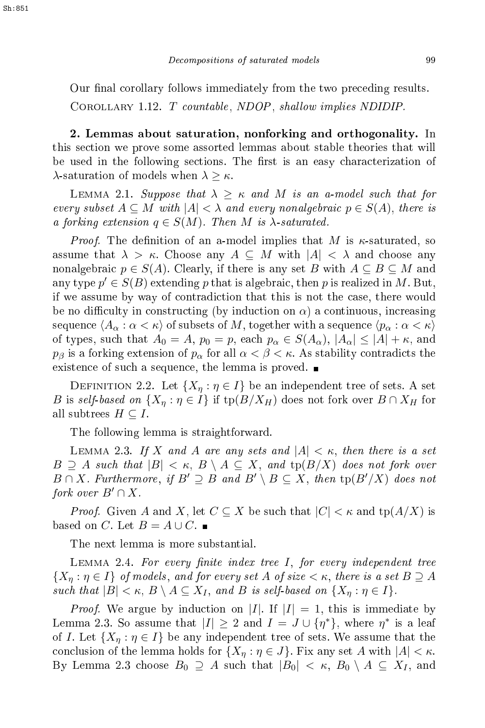Our final corollary follows immediately from the two preceding results. COROLLARY 1.12.  $T$  countable, NDOP, shallow implies NDIDIP.

2. Lemmas about saturation, nonforking and orthogonality. In this se
tion we prove some assorted lemmas about stable theories that will be used in the following sections. The first is an easy characterization of  $\lambda$ -saturation of models when  $\lambda \geq \kappa$ .

LEMMA 2.1. Suppose that  $\lambda \geq \kappa$  and M is an a-model such that for every subset  $A \subseteq M$  with  $|A| < \lambda$  and every nonalgebraic  $p \in S(A)$ , there is a forking extension  $q \in S(M)$ . Then M is  $\lambda$ -saturated.

*Proof.* The definition of an a-model implies that M is  $\kappa$ -saturated, so assume that  $\lambda > \kappa$ . Choose any  $A \subseteq M$  with  $|A| < \lambda$  and choose any nonalgebraic  $p \in S(A)$ . Clearly, if there is any set B with  $A \subseteq B \subseteq M$  and any type  $p' \in S(B)$  extending p that is algebraic, then p is realized in M. But, if we assume by way of ontradi
tion that this is not the ase, there would be no difficulty in constructing (by induction on  $\alpha$ ) a continuous, increasing sequence  $\langle A_\alpha : \alpha < \kappa \rangle$  of subsets of M, together with a sequence  $\langle p_\alpha : \alpha < \kappa \rangle$ of types, such that  $A_0 = A$ ,  $p_0 = p$ , each  $p_\alpha \in S(A_\alpha)$ ,  $|A_\alpha| \leq |A| + \kappa$ , and  $p_\beta$  is a forking extension of  $p_\alpha$  for all  $\alpha < \beta < \kappa$ . As stability contradicts the existence of such a sequence, the lemma is proved.

DEFINITION 2.2. Let  $\{X_n : \eta \in I\}$  be an independent tree of sets. A set B is self-based on  $\{X_{\eta} : \eta \in I\}$  if  $\text{tp}(B/X_H)$  does not fork over  $B \cap X_H$  for all subtrees  $H\subseteq I.$ 

The following lemma is straightforward.

LEMMA 2.3. If X and A are any sets and  $|A| < \kappa$ , then there is a set  $B \supseteq A$  such that  $|B| < \kappa$ ,  $B \setminus A \subseteq X$ , and  $tp(B/X)$  does not fork over  $B \cap X$ . Furthermore, if  $B' \supseteq B$  and  $B' \setminus B \subseteq X$ , then  $tp(B'/X)$  does not fork over  $B' \cap X$ .

*Proof.* Given A and X, let  $C \subseteq X$  be such that  $|C| < \kappa$  and  $tp(A/X)$  is based on C. Let  $B = A \cup C$ .

The next lemma is more substantial.

LEMMA 2.4. For every finite index tree I, for every independent tree  $\{X_\eta : \eta \in I\}$  of models, and for every set A of size  $<\kappa,$  there is a set  $B \supseteq A$ such that  $|B| < \kappa$ ,  $B \setminus A \subseteq X_I$ , and B is self-based on  $\{X_\eta : \eta \in I\}$ .

*Proof.* We argue by induction on |I|. If  $|I| = 1$ , this is immediate by Lemma 2.3. So assume that  $|I| \geq 2$  and  $I = J \cup \{\eta^*\}$ , where  $\eta^*$  is a leaf of I. Let  $\{X_n : \eta \in I\}$  be any independent tree of sets. We assume that the conclusion of the lemma holds for  $\{X_\eta : \eta \in J\}$ . Fix any set A with  $|A| < \kappa$ . By Lemma 2.3 choose  $B_0 \supseteq A$  such that  $|B_0| < \kappa$ ,  $B_0 \setminus A \subseteq X_I$ , and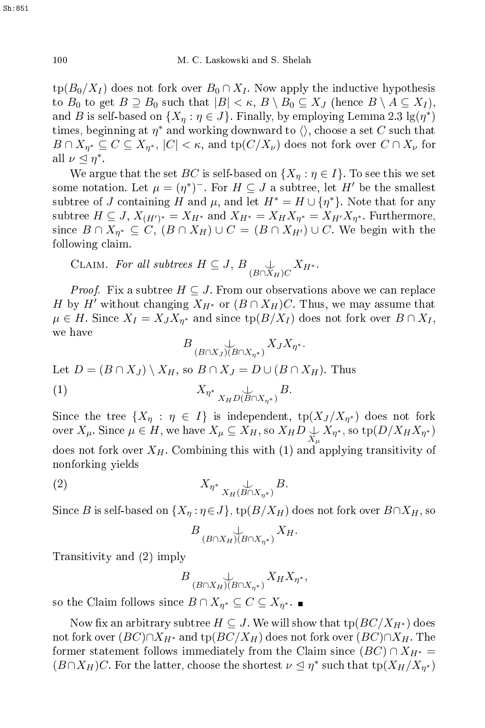$\operatorname{tp}(B_0/X_I)$  does not fork over  $B_0 \cap X_I$ . Now apply the inductive hypothesis to  $B_0$  to get  $B \supseteq B_0$  such that  $|B| < \kappa$ ,  $B \setminus B_0 \subseteq X_J$  (hence  $B \setminus A \subseteq X_I$ ), and B is self-based on  $\{X_\eta : \eta \in J\}$ . Finally, by employing Lemma 2.3  $\lg(\eta^*)$ times, beginning at  $\eta^*$  and working downward to  $\langle \rangle,$  choose a set  $C$  such that  $B \cap X_{\eta^*} \subseteq C \subseteq X_{\eta^*}, \, |C| < \kappa, \, \text{and} \, \text{tp}(C/X_\nu)$  does not fork over  $C \cap X_\nu$  for all  $\nu \leq \eta^*$ .

We argue that the set BC is self-based on  $\{X_n : \eta \in I\}$ . To see this we set some notation. Let  $\mu = (\eta^*)^-$ . For  $H \subseteq J$  a subtree, let  $H'$  be the smallest subtree of J containing H and  $\mu$ , and let  $H^* = H \cup \{\eta^*\}$ . Note that for any subtree  $H\subseteq J,\,X_{(H')^*}=X_{H^*}$  and  $X_{H^*}=X_HX_{\eta^*}=X_{H'}X_{\eta^*}.$  Furthermore, since  $B \cap X_{\eta^*} \subseteq C$ ,  $(B \cap X_H) \cup C = (B \cap X_{H'}) \cup C$ . We begin with the following claim.

CLAIM. For all subtrees  $H \subseteq J$ ,  $B \underset{(B \cap X_H)C}{\downarrow} X_{H^*}.$ 

*Proof.* Fix a subtree  $H \subseteq J$ . From our observations above we can replace H by H' without changing  $X_{H^*}$  or  $(B \cap X_H)C$ . Thus, we may assume that  $\mu\in H.$  Since  $X_I=X_JX_{\eta^*}$  and since  $\operatorname{tp}(B/X_I)$  does not fork over  $B\cap X_I,$ we have

$$
B\underset{(B\cap X_J)(B\cap X_{\eta^*})}{\cup}X_JX_{\eta^*}.
$$

Let  $D = (B \cap X_J) \setminus X_H$ , so  $B \cap X_J = D \cup (B \cap X_H)$ . Thus

(1)  $X_{\eta^*} \bigcup_{X_H D(B \cap X_{\eta^*})} B.$ 

Since the tree  $\{X_\eta : \eta \in I\}$  is independent,  $\text{tp}(X_J/X_{\eta^*})$  does not fork over  $X_\mu$ . Since  $\mu\in H,$  we have  $X_\mu\subseteq X_H,$  so  $X_H D\bigcup_{X_\mu}X_{\eta^*},$  so  $\operatorname{tp}(D/X_HX_{\eta^*})$ 

does not fork over  $X_H$ . Combining this with (1) and applying transitivity of nonforking yields

$$
(2) \t\t X_{\eta^*} \underset{X_H(B \cap X_{\eta^*})}{\perp} B.
$$

Since B is self-based on  $\{X_{\eta} : \eta \in J\}$ ,  $\text{tp}(B/X_H)$  does not fork over  $B \cap X_H$ , so

$$
B\bigcup_{(B\cap X_H)(B\cap X_{\eta^*})}X_H.
$$

Transitivity and (2) imply

$$
B\underset{(B\cap X_H)(B\cap X_{\eta^*})}{\cup}X_HX_{\eta^*},
$$

so the Claim follows since  $B \cap X_{\eta^*} \subseteq C \subseteq X_{\eta^*}.$ 

Now fix an arbitrary subtree  $H \subseteq J$ . We will show that  $tp(BC/X_{H^*})$  does not fork over  $(BC) \cap X_{H^*}$  and  $tp(BC/X_H)$  does not fork over  $(BC) \cap X_H$ . The former statement follows immediately from the Claim since  $(BC) \cap X_{H^*} =$  $(B \cap X_H)C$ . For the latter, choose the shortest  $\nu \leq \eta^*$  such that  $tp(X_H/X_{\eta^*})$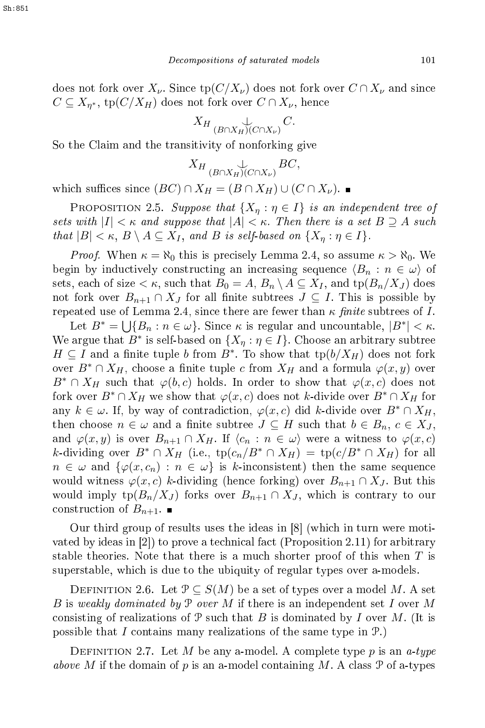does not fork over  $X_{\nu}$ . Since  $tp(C/X_{\nu})$  does not fork over  $C \cap X_{\nu}$  and since  $C \subseteq X_{\eta^*}, \, \operatorname{tp}(C/X_H)$  does not fork over  $C \cap X_\nu,$  hence

$$
X_H \bigcup_{(B \cap X_H)(C \cap X_\nu)} C.
$$

So the Claim and the transitivity of nonforking give

$$
X_H \bigcup_{(B \cap X_H)(C \cap X_\nu)} BC,
$$

which suffices since  $(BC) \cap X_H = (B \cap X_H) \cup (C \cap X_{\nu})$ .

PROPOSITION 2.5. Suppose that  $\{X_n : \eta \in I\}$  is an independent tree of sets with  $|I| < \kappa$  and suppose that  $|A| < \kappa$ . Then there is a set  $B \supseteq A$  such that  $|B| < \kappa$ ,  $B \setminus A \subseteq X_I$ , and B is self-based on  $\{X_\eta : \eta \in I\}$ .

*Proof.* When  $\kappa = \aleph_0$  this is precisely Lemma 2.4, so assume  $\kappa > \aleph_0$ . We begin by inductively constructing an increasing sequence  $\langle B_n : n \in \omega \rangle$  of sets, each of size  $\lt \kappa$ , such that  $B_0 = A$ ,  $B_n \setminus A \subseteq X_I$ , and  $tp(B_n/X_J)$  does not fork over  $B_{n+1} \cap X_J$  for all finite subtrees  $J \subseteq I$ . This is possible by repeated use of Lemma 2.4, since there are fewer than  $\kappa$  finite subtrees of I.

Let  $B^* = \bigcup \{B_n : n \in \omega\}$ . Since  $\kappa$  is regular and uncountable,  $|B^*| < \kappa$ . We argue that  $B^*$  is self-based on  $\{X_\eta : \eta \in I\}$ . Choose an arbitrary subtree  $H \subseteq I$  and a finite tuple b from  $B^*$ . To show that  $\text{tp}(b/X_H)$  does not fork over  $B^* \cap X_H$ , choose a finite tuple c from  $X_H$  and a formula  $\varphi(x, y)$  over  $B^* \cap X_H$  such that  $\varphi(b,c)$  holds. In order to show that  $\varphi(x,c)$  does not fork over  $B^* \cap X_H$  we show that  $\varphi(x, c)$  does not k-divide over  $B^* \cap X_H$  for any  $k \in \omega$ . If, by way of contradiction,  $\varphi(x, c)$  did k-divide over  $B^* \cap X_H$ , then choose  $n \in \omega$  and a finite subtree  $J \subseteq H$  such that  $b \in B_n$ ,  $c \in X_J$ , and  $\varphi(x, y)$  is over  $B_{n+1} \cap X_H$ . If  $\langle c_n : n \in \omega \rangle$  were a witness to  $\varphi(x, c)$ k-dividing over  $B^* \cap X_H$  (i.e.,  $tp(c_n/B^* \cap X_H) = tp(c/B^* \cap X_H)$  for all  $n \in \omega$  and  $\{\varphi(x,c_n) : n \in \omega\}$  is k-inconsistent) then the same sequence would witness  $\varphi(x, c)$  k-dividing (hence forking) over  $B_{n+1} \cap X_J$ . But this would imply tp $(B_n/X_J)$  forks over  $B_{n+1} \cap X_J$ , which is contrary to our construction of  $B_{n+1}$ .

Our third group of results uses the ideas in [8] (which in turn were motivated by ideas in  $[2]$  to prove a technical fact (Proposition 2.11) for arbitrary stable theories. Note that there is a much shorter proof of this when  $T$  is superstable, whi
h is due to the ubiquity of regular types over a-models.

DEFINITION 2.6. Let  $P \subseteq S(M)$  be a set of types over a model M. A set B is weakly dominated by  $P$  over M if there is an independent set I over M consisting of realizations of  $\mathcal P$  such that B is dominated by I over M. (It is possible that I contains many realizations of the same type in  $\mathcal{P}$ .)

DEFINITION 2.7. Let M be any a-model. A complete type p is an a-type above M if the domain of  $p$  is an a-model containing  $M$ . A class  $\mathcal P$  of a-types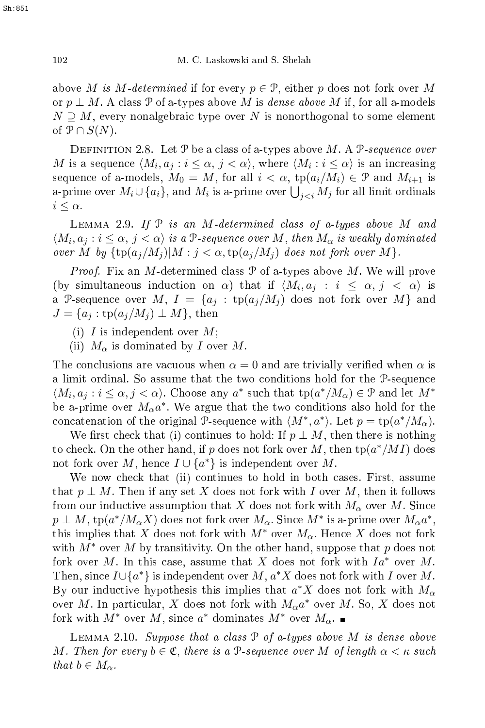above M is M-determined if for every  $p \in \mathcal{P}$ , either p does not fork over M or  $p \perp M$ . A class P of a-types above M is *dense above* M if, for all a-models  $N \supseteq M$ , every nonalgebraic type over N is nonorthogonal to some element of  $\mathcal{P} \cap S(N)$ .

DEFINITION 2.8. Let  $P$  be a class of a-types above M. A  $P$ -sequence over  $M$  is a sequence  $\langle M_i, a_j : i \leq \alpha, \, j < \alpha \rangle,$  where  $\langle M_i : i \leq \alpha \rangle$  is an increasing sequence of a-models,  $M_0 = M$ , for all  $i < \alpha$ ,  $tp(a_i/M_i) \in \mathcal{P}$  and  $M_{i+1}$  is a-prime over  $M_i \cup \{a_i\}$ , and  $M_i$  is a-prime over  $\bigcup_{j for all limit ordinals$  $i \leq \alpha$ .

LEMMA 2.9. If  $P$  is an M-determined class of a-types above M and  $\langle M_i, a_j : i \leq \alpha, j < \alpha \rangle$  is a P-sequence over M, then  $M_\alpha$  is weakly dominated over M by  $\{ \text{tp}(a_j/M_j) | M : j < \alpha, \text{tp}(a_j/M_j) \}$  does not fork over M $\}.$ 

*Proof.* Fix an  $M$ -determined class  $P$  of a-types above  $M$ . We will prove (by simultaneous induction on  $\alpha$ ) that if  $\langle M_i, a_j : i \leq \alpha, j < \alpha \rangle$  is a P-sequence over  $M, I = \{a_j : \text{tp}(a_j/M_j) \text{ does not fork over } M \}$  and  $J = \{a_i : \text{tp}(a_i/M_i) \perp M\}$ , then

- (i) I is independent over  $M$ ;
- (ii)  $M_{\alpha}$  is dominated by I over M.

The conclusions are vacuous when  $\alpha = 0$  and are trivially verified when  $\alpha$  is <sup>a</sup> limit ordinal. So assume that the two onditions hold for the P-sequen
e  $\langle M_i, a_j : i \leq \alpha, j < \alpha \rangle$ . Choose any  $a^*$  such that  $tp(a^*/M_\alpha) \in \mathcal{P}$  and let  $M^*$ be a-prime over  $M_{\alpha}a^*$ . We argue that the two conditions also hold for the concatenation of the original P-sequence with  $\langle M^*, a^* \rangle$ . Let  $p = \text{tp}(a^*/M_\alpha)$ .

We first check that (i) continues to hold: If  $p \perp M$ , then there is nothing to check. On the other hand, if p does not fork over M, then  $\text{tp}(a^*/MI)$  does not fork over M, hence  $I \cup \{a^*\}$  is independent over M.

We now check that (ii) continues to hold in both cases. First, assume that  $p \perp M$ . Then if any set X does not fork with I over M, then it follows from our inductive assumption that X does not fork with  $M_{\alpha}$  over M. Since  $p \perp M, \, \operatorname{tp}(a^*/M_{\alpha}X)$  does not fork over  $M_{\alpha}$ . Since  $M^*$  is a-prime over  $M_{\alpha}a^*,$ this implies that X does not fork with  $M^*$  over  $M_\alpha$ . Hence X does not fork with  $M^*$  over M by transitivity. On the other hand, suppose that p does not fork over M. In this case, assume that X does not fork with  $Ia^*$  over M. Then, since  $I \cup \{a^*\}$  is independent over M,  $a^*X$  does not fork with I over M. By our inductive hypothesis this implies that  $a^*X$  does not fork with  $M_{\alpha}$ over M. In particular, X does not fork with  $M_{\alpha}a^*$  over M. So, X does not fork with  $M^*$  over  $M$ , since  $a^*$  dominates  $M^*$  over  $M_\alpha$ .

LEMMA 2.10. Suppose that a class  $P$  of a-types above M is dense above M. Then for every  $b \in \mathfrak{C}$ , there is a P-sequence over M of length  $\alpha < \kappa$  such that  $b \in M_{\alpha}$ .

Sh:851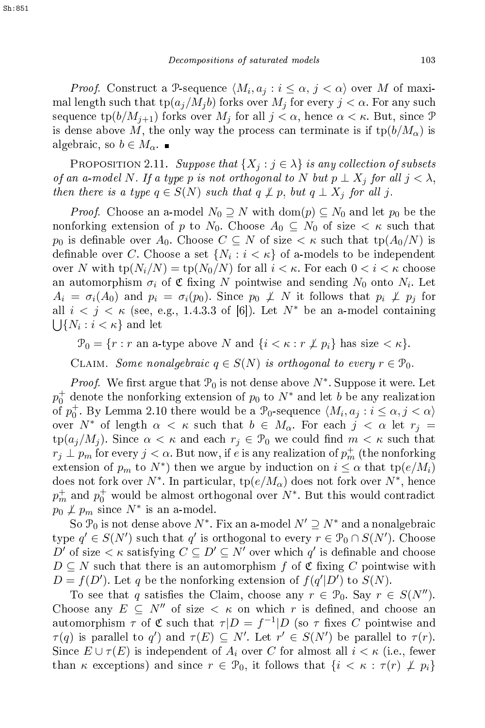*Proof.* Construct a P-sequence  $\langle M_i, a_j : i \leq \alpha, j < \alpha \rangle$  over M of maximal length such that  $\text{tp}(a_j/M_j b)$  forks over  $M_j$  for every  $j < \alpha$ . For any such sequence  $\text{tp}(b/M_{i+1})$  forks over  $M_i$  for all  $j < \alpha$ , hence  $\alpha < \kappa$ . But, since  $\mathcal{P}$ is dense above M, the only way the process can terminate is if  $tp(b/M_\alpha)$  is algebraic, so  $b \in M_{\alpha}$ .

PROPOSITION 2.11. Suppose that  $\{X_i : j \in \lambda\}$  is any collection of subsets of an a-model N. If a type p is not orthogonal to N but  $p \perp X_j$  for all  $j < \lambda$ , then there is a type  $q \in S(N)$  such that  $q \not\perp p$ , but  $q \perp X_j$  for all j.

*Proof.* Choose an a-model  $N_0 \supseteq N$  with  $\text{dom}(p) \subseteq N_0$  and let  $p_0$  be the nonforking extension of p to  $N_0$ . Choose  $A_0 \subseteq N_0$  of size  $\lt \kappa$  such that p<sub>0</sub> is definable over  $A_0$ . Choose  $C \subseteq N$  of size  $\lt \kappa$  such that tp $(A_0/N)$  is definable over C. Choose a set  $\{N_i : i < \kappa\}$  of a-models to be independent over N with  $tp(N_i/N) = tp(N_0/N)$  for all  $i < \kappa$ . For each  $0 < i < \kappa$  choose an automorphism  $\sigma_i$  of  $\mathfrak C$  fixing N pointwise and sending  $N_0$  onto  $N_i$ . Let  $A_i = \sigma_i(A_0)$  and  $p_i = \sigma_i(p_0)$ . Since  $p_0 \not\perp N$  it follows that  $p_i \not\perp p_j$  for all  $i < j < \kappa$  (see, e.g., 1.4.3.3 of [6]). Let  $N^*$  be an a-model containing  $\bigcup \{N_i : i < \kappa\}$  and let

 $\mathcal{P}_0 = \{r : r \text{ an a-type above } N \text{ and } \{i \leq \kappa : r \not\perp p_i\} \text{ has size } \leq \kappa\}.$ 

CLAIM. Some nonalgebraic  $q \in S(N)$  is orthogonal to every  $r \in \mathcal{P}_0$ .

*Proof.* We first argue that  $\mathcal{P}_0$  is not dense above  $N^*$ . Suppose it were. Let  $p_0^+$  denote the nonforking extension of  $p_0$  to  $N^*$  and let  $b$  be any realization of  $p_0^+$ . By Lemma 2.10 there would be a  $\mathcal{P}_0$ -sequence  $\langle M_i, a_j : i \leq \alpha, j < \alpha \rangle$ over  $N^*$  of length  $\alpha < \kappa$  such that  $b \in M_\alpha$ . For each  $j < \alpha$  let  $r_j =$  $\text{tp}(a_j/M_j)$ . Since  $\alpha < \kappa$  and each  $r_j \in \mathcal{P}_0$  we could find  $m < \kappa$  such that  $r_j \perp p_m$  for every  $j < \alpha$ . But now, if  $e$  is any realization of  $p_m^+$  (the nonforking extension of  $p_m$  to  $N^*$ ) then we argue by induction on  $i \leq \alpha$  that  $tp(e/M_i)$ does not fork over  $N^*$ . In particular,  $\text{tp}(e/M_\alpha)$  does not fork over  $N^*$ , hence  $p_m^+$  and  $p_0^+$  would be almost orthogonal over  $N^*$ . But this would contradict  $p_0 \not\perp p_m$  since  $N^*$  is an a-model.

So  $\mathcal{P}_0$  is not dense above  $N^*$ . Fix an a-model  $N' \supseteq N^*$  and a nonalgebraic type  $q' \in S(N')$  such that  $q'$  is orthogonal to every  $r \in \mathcal{P}_0 \cap S(N')$ . Choose D' of size  $\lt \kappa$  satisfying  $C \subseteq D' \subseteq N'$  over which  $q'$  is definable and choose  $D \subseteq N$  such that there is an automorphism f of C fixing C pointwise with  $D = f(D')$ . Let q be the nonforking extension of  $f(q'|D')$  to  $S(N)$ .

To see that q satisfies the Claim, choose any  $r \in \mathcal{P}_0$ . Say  $r \in S(N'')$ . Choose any  $E \subseteq N''$  of size  $\lt \kappa$  on which r is defined, and choose an automorphism  $\tau$  of  $\mathfrak C$  such that  $\tau |D = f^{-1}|D$  (so  $\tau$  fixes C pointwise and  $\tau(q)$  is parallel to q') and  $\tau(E) \subseteq N'$ . Let  $r' \in S(N')$  be parallel to  $\tau(r)$ . Since  $E \cup \tau(E)$  is independent of  $A_i$  over C for almost all  $i < \kappa$  (i.e., fewer than  $\kappa$  exceptions) and since  $r \in \mathcal{P}_0$ , it follows that  $\{i \leq \kappa : \tau(r) \not\perp p_i\}$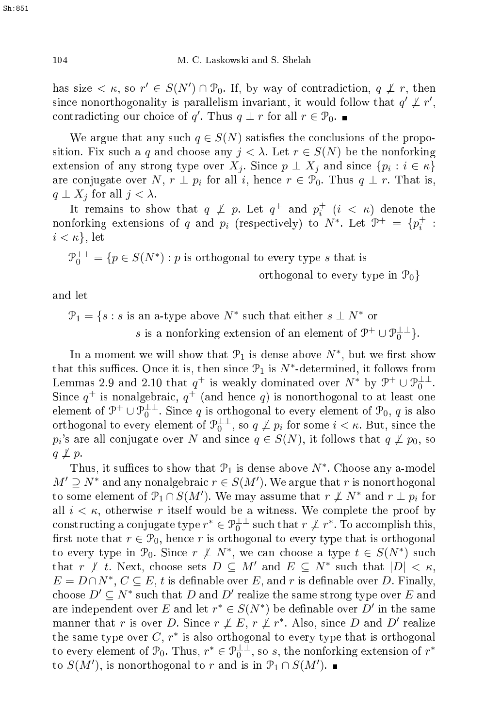has size  $\lt \kappa$ , so  $r' \in S(N') \cap \mathcal{P}_0$ . If, by way of contradiction,  $q \not\perp r$ , then since nonorthogonality is parallelism invariant, it would follow that  $q' \not\perp r'$ , contradicting our choice of q'. Thus  $q \perp r$  for all  $r \in \mathcal{P}_0$ .

We argue that any such  $q \in S(N)$  satisfies the conclusions of the proposition. Fix such a q and choose any  $j < \lambda$ . Let  $r \in S(N)$  be the nonforking extension of any strong type over  $X_j$ . Since  $p \perp X_j$  and since  $\{p_i : i \in \kappa\}$ are conjugate over N,  $r \perp p_i$  for all i, hence  $r \in \mathcal{P}_0$ . Thus  $q \perp r$ . That is,  $q \perp X_j$  for all  $j < \lambda$ .

It remains to show that  $q \not\perp p$ . Let  $q^+$  and  $p_i^+$   $(i < \kappa)$  denote the nonforking extensions of q and  $p_i$  (respectively) to  $N^*$ . Let  $\mathcal{P}^+ = \{p_i^+ :$  $i < \kappa$ , let

 $\mathcal{P}_0^{\perp \perp} = \{ p \in S(N^*) : p \text{ is orthogonal to every type } s \text{ that is }$ 

orthogonal to every type in  $\mathcal{P}_0$ 

and let

 $\mathcal{P}_1 = \{s : s \text{ is an a-type above } N^* \text{ such that either } s \perp N^* \text{ or }$ s is a nonforking extension of an element of  $\mathcal{P}^+ \cup \mathcal{P}_0^{\perp \perp}$ .

In a moment we will show that  $\mathcal{P}_1$  is dense above  $N^*$ , but we first show that this suffices. Once it is, then since  $\mathcal{P}_1$  is  $N^*$ -determined, it follows from Lemmas 2.9 and 2.10 that  $q^+$  is weakly dominated over  $N^*$  by  $\mathcal{P}^+ \cup \mathcal{P}_0^{\perp \perp}$ . Since  $q^+$  is nonalgebraic,  $q^+$  (and hence q) is nonorthogonal to at least one element of  $\mathcal{P}^+ \cup \mathcal{P}_0^{\perp \perp}$ . Since q is orthogonal to every element of  $\mathcal{P}_0$ , q is also orthogonal to every element of  $\mathcal{P}_0^{\perp\perp}$ , so  $q \not\perp p_i$  for some  $i < \kappa$ . But, since the  $p_i$ 's are all conjugate over  $N$  and since  $q \in S(N),$  it follows that  $q \not\perp p_0,$  so  $q \not\perp p$ .

Thus, it suffices to show that  $\mathcal{P}_1$  is dense above  $N^*$ . Choose any a-model  $M' \supseteq N^*$  and any nonalgebraic  $r \in S(M')$ . We argue that r is nonorthogonal to some element of  $\mathcal{P}_1 \cap S(M')$ . We may assume that  $r \not\perp N^*$  and  $r \perp p_i$  for all  $i < \kappa$ , otherwise r itself would be a witness. We complete the proof by constructing a conjugate type  $r^* \in \mathcal{P}_0^{\perp \perp}$  such that  $r \not\perp r^*$ . To accomplish this, first note that  $r \in \mathcal{P}_0$ , hence r is orthogonal to every type that is orthogonal to every type in  $\mathcal{P}_0$ . Since  $r \not\perp N^*$ , we can choose a type  $t \in S(N^*)$  such that  $r \not\perp t$ . Next, choose sets  $D \subseteq M'$  and  $E \subseteq N^*$  such that  $|D| < \kappa$ ,  $E = D \cap N^*, C \subseteq E$ , t is definable over E, and r is definable over D. Finally, choose  $D' \subseteq N^*$  such that D and D' realize the same strong type over E and are independent over E and let  $r^* \in S(N^*)$  be definable over D' in the same manner that r is over D. Since  $r \not\perp E$ ,  $r \not\perp r^*$ . Also, since D and D' realize the same type over  $C, r^*$  is also orthogonal to every type that is orthogonal to every element of  $\mathcal{P}_0$ . Thus,  $r^* \in \mathcal{P}_0^{\perp \perp}$ , so s, the nonforking extension of  $r^*$ to  $S(M')$ , is nonorthogonal to r and is in  $\mathcal{P}_1 \cap S(M')$ .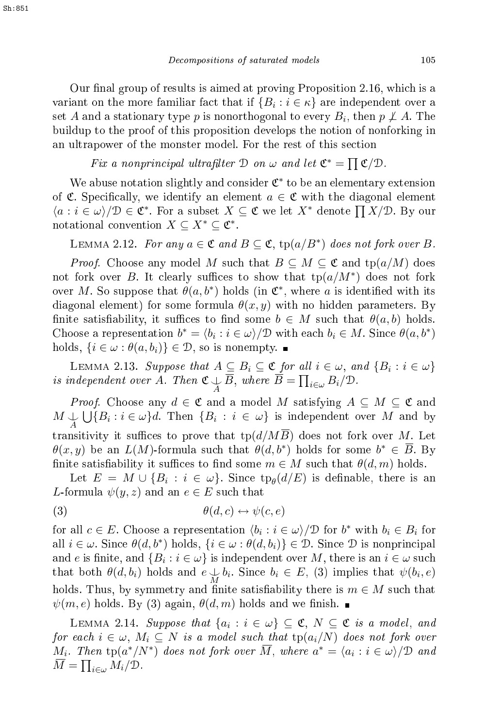Our final group of results is aimed at proving Proposition 2.16, which is a variant on the more familiar fact that if  $\{B_i : i \in \kappa\}$  are independent over a set  $A$  and a stationary type  $p$  is nonorthogonal to every  $B_i,$  then  $p\not\perp A.$  The buildup to the proof of this proposition develops the notion of nonforking in an ultrapower of the monster model. For the rest of this se
tion

Fix a nonprincipal ultrafilter  $\mathcal{D}$  on  $\omega$  and let  $\mathfrak{C}^* = \prod \mathfrak{C}/\mathfrak{D}$ .

We abuse notation slightly and consider  $\mathfrak{C}^*$  to be an elementary extension of  $\mathfrak{C}$ . Specifically, we identify an element  $a \in \mathfrak{C}$  with the diagonal element  $\langle a : i \in \omega \rangle / D \in \mathfrak{C}^*$ . For a subset  $X \subseteq \mathfrak{C}$  we let  $X^*$  denote  $\prod X/\mathfrak{D}$ . By our notational convention  $X \subseteq X^* \subseteq \mathfrak{C}^*$ .

LEMMA 2.12. For any  $a \in \mathfrak{C}$  and  $B \subseteq \mathfrak{C}$ ,  $\text{tp}(a/B^*)$  does not fork over B.

*Proof.* Choose any model M such that  $B \subseteq M \subseteq \mathfrak{C}$  and  $tp(a/M)$  does not fork over B. It clearly suffices to show that  $tp(a/M^*)$  does not fork over M. So suppose that  $\theta(a, b^*)$  holds (in  $\mathfrak{C}^*$ , where a is identified with its diagonal element) for some formula  $\theta(x, y)$  with no hidden parameters. By finite satisfiability, it suffices to find some  $b \in M$  such that  $\theta(a, b)$  holds. Choose a representation  $b^* = \langle b_i : i \in \omega \rangle / \mathcal{D}$  with each  $b_i \in M$ . Since  $\theta(a, b^*)$ holds,  $\{i \in \omega : \theta(a, b_i)\}\in \mathcal{D}$ , so is nonempty.

LEMMA 2.13. Suppose that  $A \subseteq B_i \subseteq \mathfrak{C}$  for all  $i \in \omega$ , and  $\{B_i : i \in \omega\}$ independent over A. Then  $\mathfrak{C} \downarrow \overline{B}$ , where  $\overline{B} = \prod_{i \in \omega} B_i / \mathfrak{D}$ .

*Proof.* Choose any  $d \in \mathfrak{C}$  and a model M satisfying  $A \subseteq M \subseteq \mathfrak{C}$  and  $M \downarrow \bigcup_{A} \bigcup_{i} \{B_i : i \in \omega\}$ d. Then  $\{B_i : i \in \omega\}$  is independent over M and by transitivity it suffices to prove that  $tp(d/M\overline{B})$  does not fork over M. Let  $\theta(x,y)$  be an  $L(M)$ -formula such that  $\theta(d,b^*)$  holds for some  $b^* \in \overline{B}$ . By finite satisfiability it suffices to find some  $m \in M$  such that  $\theta(d,m)$  holds.

Let  $E = M \cup \{B_i : i \in \omega\}$ . Since  $\text{tp}_{\theta}(d/E)$  is definable, there is an L-formula  $\psi(y, z)$  and an  $e \in E$  such that

$$
(3) \qquad \theta(d,c) \leftrightarrow \psi(c,e)
$$

for all  $c \in E$ . Choose a representation  $\langle b_i : i \in \omega \rangle / \mathcal{D}$  for  $b^*$  with  $b_i \in B_i$  for all  $i \in \omega$ . Since  $\theta(d, b^*)$  holds,  $\{i \in \omega : \theta(d, b_i)\} \in \mathcal{D}$ . Since  $\mathcal D$  is nonprincipal and  $e$  is finite, and  $\{B_i : i \in \omega\}$  is independent over  $M,$  there is an  $i \in \omega$  such that both  $\theta(d, b_i)$  holds and  $e \downarrow b_i$ . Since  $b_i \in E$ , (3) implies that  $\psi(b_i, e)$ holds. Thus, by symmetry and finite satisfiability there is  $m \in M$  such that  $\psi(m, e)$  holds. By (3) again,  $\theta(d, m)$  holds and we finish.

LEMMA 2.14. Suppose that  $\{a_i : i \in \omega\} \subseteq \mathfrak{C}, N \subseteq \mathfrak{C}$  is a model, and for each  $i\in\omega,\ M_i\subseteq N$  is a model such that  $\text{tp}(a_i/N)$  does not fork over  $M_i$ . Then  $\text{tp}(a^*/N^*)$  does not fork over  $\overline{M}$ , where  $a^*=\langle a_i : i\in\omega \rangle/\mathfrak{D}$  and  $\overline{M} = \prod_{i \in \omega} M_i/D$ .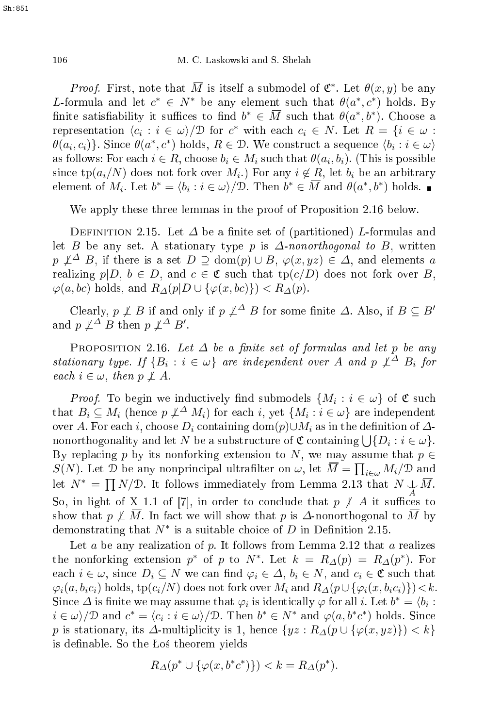*Proof.* First, note that  $\overline{M}$  is itself a submodel of  $\mathfrak{C}^*$ . Let  $\theta(x, y)$  be any L-formula and let  $c^* \in N^*$  be any element such that  $\theta(a^*, c^*)$  holds. By finite satisfiability it suffices to find  $b^* \in \overline{M}$  such that  $\theta(a^*,b^*)$ . Choose a representation  $\langle c_i : i \in \omega \rangle / \mathcal{D}$  for  $c^*$  with each  $c_i \in N$ . Let  $R = \{i \in \omega :$  $\theta(a_i, c_i)$ }. Since  $\theta(a^*, c^*)$  holds,  $R \in \mathcal{D}$ . We construct a sequence  $\langle b_i : i \in \omega \rangle$ as follows: For each  $i \in R$ , choose  $b_i \in M_i$  such that  $\theta(a_i, b_i)$ . (This is possible since tp $(a_i/N)$  does not fork over  $M_i$ .) For any  $i \notin R$ , let  $b_i$  be an arbitrary element of  $M_i$ . Let  $b^* = \langle b_i : i \in \omega \rangle / \mathcal{D}$ . Then  $b^* \in \overline{M}$  and  $\theta(a^*, b^*)$  holds.

We apply these three lemmas in the proof of Proposition 2.16 below.

DEFINITION 2.15. Let  $\Delta$  be a finite set of (partitioned) L-formulas and let B be any set. A stationary type p is  $\Delta$ -nonorthogonal to B, written  $p \not\perp^{\Delta} B$ , if there is a set  $D \supseteq \text{dom}(p) \cup B$ ,  $\varphi(x, yz) \in \Delta$ , and elements a realizing  $p|D, b \in D$ , and  $c \in \mathfrak{C}$  such that  $tp(c/D)$  does not fork over B,  $\varphi(a, bc)$  holds, and  $R_{\Delta}(p|D \cup {\varphi(x, bc)}) < R_{\Delta}(p)$ .

Clearly,  $p \not\perp B$  if and only if  $p \not\perp^{\Delta} B$  for some finite  $\Delta$ . Also, if  $B \subseteq B'$ and  $p \not\perp^{\Delta} B$  then  $p \not\perp^{\Delta} B'$ .

PROPOSITION 2.16. Let  $\Delta$  be a finite set of formulas and let p be any stationary type. If  $\{B_i : i \in \omega\}$  are independent over A and p  $\perp \Delta B_i$  for each  $i \in \omega$ , then  $p \not\perp A$ .

*Proof.* To begin we inductively find submodels  $\{M_i : i \in \omega\}$  of  $\mathfrak C$  such that  $B_i \subseteq M_i$  (hence  $p \not\perp^{\Delta} M_i$ ) for each  $i$ , yet  $\{M_i : i \in \omega\}$  are independent over A. For each i, choose  $D_i$  containing  $dom(p) \cup M_i$  as in the definition of  $\Delta$ nonorthogonality and let N be a substructure of  $\mathfrak C$  containing  $\bigcup\{D_i:i\in\omega\}.$ By replacing p by its nonforking extension to N, we may assume that  $p \in$  $S(N)$ . Let  $\mathcal{D}$  be any nonprincipal ultrafilter on  $\omega$ , let  $\overline{M} = \prod_{i \in \omega} M_i / \mathcal{D}$  and let  $N^* = \prod N/\mathcal{D}$ . It follows immediately from Lemma 2.13 that  $N \downarrow \overline{M}$ . So, in light of X 1.1 of [7], in order to conclude that  $p \not\perp A$  it suffices to show that  $p \not\perp \overline{M}$ . In fact we will show that p is  $\Delta$ -nonorthogonal to  $\overline{M}$  by demonstrating that  $N^*$  is a suitable choice of  $D$  in Definition 2.15.

Let  $a$  be any realization of  $p$ . It follows from Lemma 2.12 that  $a$  realizes the nonforking extension  $p^*$  of p to  $N^*$ . Let  $k = R_{\Delta}(p) = R_{\Delta}(p^*)$ . For each  $i \in \omega$ , since  $D_i \subseteq N$  we can find  $\varphi_i \in \Delta$ ,  $b_i \in N$ , and  $c_i \in \mathfrak{C}$  such that  $\varphi_i(a, b_i c_i)$  holds, tp $(c_i/N)$  does not fork over  $M_i$  and  $R_{\Delta}(p \cup {\varphi_i(x, b_i c_i)})$  < k. Since  $\Delta$  is finite we may assume that  $\varphi_i$  is identically  $\varphi$  for all *i*. Let  $b^* = \langle b_i :$  $i \in \omega$ /D and  $c^* = \langle c_i : i \in \omega \rangle / \mathcal{D}$ . Then  $b^* \in N^*$  and  $\varphi(a, b^*c^*)$  holds. Since p is stationary, its  $\Delta$ -multiplicity is 1, hence  $\{yz : R_{\Delta}(p \cup \{\varphi(x,yz)\}) < k\}$ is definable. So the Los theorem yields

$$
R_{\Delta}(p^* \cup {\varphi(x, b^*c^*)}) < k = R_{\Delta}(p^*).
$$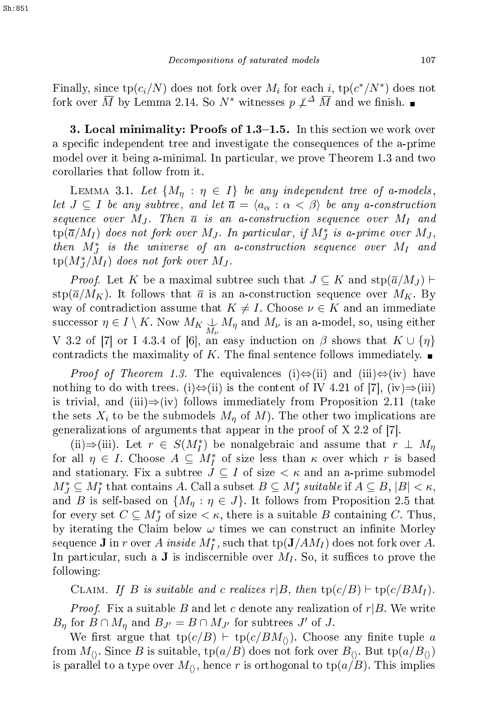Finally, since  $\text{tp}(c_i/N)$  does not fork over  $M_i$  for each  $i$ ,  $\text{tp}(c^*/N^*)$  does not fork over  $\overline{M}$  by Lemma 2.14. So  $N^*$  witnesses  $p \not\perp^{\Delta} \overline{M}$  and we finish. ■

**3. Local minimality: Proofs of 1.3–1.5.** In this section we work over a specific independent tree and investigate the consequences of the a-prime model over it being a-minimal. In particular, we prove Theorem 1.3 and two orollaries that follow from it.

LEMMA 3.1. Let  $\{M_{\eta} : \eta \in I\}$  be any independent tree of a-models, let  $J \subseteq I$  be any subtree, and let  $\overline{a} = \langle a_{\alpha} : \alpha < \beta \rangle$  be any a-construction sequence over  $M_J$ . Then  $\overline{a}$  is an a-construction sequence over  $M_I$  and  $\text{tp}(\overline{a}/M_I)$  does not fork over  $M_J$ . In particular, if  $M_J^*$  is a-prime over  $M_J,$ then  $M_J^*$  is the universe of an a-construction sequence over  $M_I$  and  $\operatorname{tp}(M_{J}^{*}/M_{I})$  does not fork over  $M_{J}.$ 

*Proof.* Let K be a maximal subtree such that  $J \subseteq K$  and  $\text{stp}(\overline{a}/M_J) \vdash$  $\frac{\text{stp}(\overline{a}/M_K)}{M_K}$ . It follows that  $\overline{a}$  is an a-construction sequence over  $M_K$ . By way of contradiction assume that  $K \neq I$ . Choose  $\nu \in K$  and an immediate successor  $\eta \in I \setminus K$ . Now  $M_K \bigcup_{M_{\nu}} M_{\eta}$  and  $M_{\nu}$  is an a-model, so, using either V 3.2 of [7] or I 4.3.4 of [6], an easy induction on  $\beta$  shows that  $K \cup \{\eta\}$ contradicts the maximality of K. The final sentence follows immediately.  $\blacksquare$ 

*Proof of Theorem 1.3.* The equivalences (i) $\Leftrightarrow$ (ii) and (iii) $\Leftrightarrow$ (iv) have nothing to do with trees. (i) $\Leftrightarrow$ (ii) is the content of IV 4.21 of [7], (iv) $\Rightarrow$ (iii) is trivial, and (iii)⇒(iv) follows immediately from Proposition 2.11 (take the sets  $X_i$  to be the submodels  $M_\eta$  of  $M$ ). The other two implications are generalizations of arguments that appear in the proof of  $X$  2.2 of [7].

(ii)⇒(iii). Let  $r \in S(M_I^*)$  be nonalgebraic and assume that  $r \perp M_{\eta}$ for all  $\eta \in I$ . Choose  $A \subseteq M_I^*$  of size less than  $\kappa$  over which  $r$  is based and stationary. Fix a subtree  $J \subseteq I$  of size  $<\kappa$  and an a-prime submodel  $M_J^* \subseteq M_I^*$  that contains A. Call a subset  $B \subseteq M_J^*$  suitable if  $A \subseteq B$ ,  $|B| < \kappa$ , and B is self-based on  $\{M_\eta : \eta \in J\}$ . It follows from Proposition 2.5 that for every set  $C \subseteq M_J^*$  of size  $\lt \kappa$ , there is a suitable B containing C. Thus, by iterating the Claim below  $\omega$  times we can construct an infinite Morley sequence **J** in r over A inside  $M_I^*$ , such that  $\text{tp}(\mathbf{J}/AM_I)$  does not fork over A. In particular, such a **J** is indiscernible over  $M<sub>I</sub>$ . So, it suffices to prove the following:

CLAIM. If B is suitable and c realizes r|B, then  $tp(c/B) \vdash tp(c/BM_I)$ .

*Proof.* Fix a suitable B and let c denote any realization of  $r|B$ . We write  $B_{\eta}$  for  $B \cap M_{\eta}$  and  $B_{J'} = B \cap M_{J'}$  for subtrees  $J'$  of  $J$ .

We first argue that  $tp(c/B) \vdash tp(c/BM_0)$ . Choose any finite tuple a from  $M_{\langle\rangle}$ . Since B is suitable, tp( $a/B$ ) does not fork over  $B_{\langle\rangle}$ . But tp( $a/B_{\langle\rangle}$ ) is parallel to a type over  $M_{\langle\rangle}$ , hence r is orthogonal to tp $(a/B)$ . This implies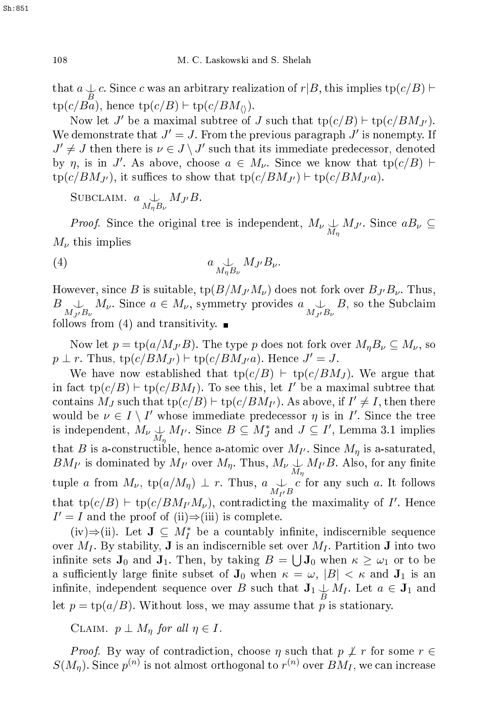that  $a \nightharpoonup c$ . Since c was an arbitrary realization of  $r|B$ , this implies tp $(c/B) \vdash$  $tp(c/Ba)$ , hence  $tp(c/B) \vdash tp(c/BM_0)$ .

Now let  $J'$  be a maximal subtree of  $J$  such that  $\text{tp}(c/B) \vdash \text{tp}(c/BM_{J'}).$ We demonstrate that  $J'=J$ . From the previous paragraph  $J'$  is nonempty. If  $J' \neq J$  then there is  $\nu \in J \setminus J'$  such that its immediate predecessor, denoted by  $\eta$ , is in J'. As above, choose  $a \in M_{\nu}$ . Since we know that tp $(c/B)$   $\vdash$  $tp(c/BM_{J'})$ , it suffices to show that  $tp(c/BM_{J'}) \vdash tp(c/BM_{J'}a)$ .

SUBCLAIM.  $a \underset{M_{\eta}B_{\nu}}{\cup} M_{J'}B$ .

Proof.Since the original tree is independent,  $M_{\nu} \underset{M_{\eta}}{\downarrow} M_{J'}$ . Since  $aB_{\nu} \subseteq$  $M_{\nu}$  this implies

$$
(4) \t a \underset{M_{\eta}B_{\nu}}{\downarrow} M_{J'} B_{\nu}.
$$

However, since B is suitable,  $\text{tp}(B/M_{J'}/M_{\nu})$  does not fork over  $B_{J'}B_{\nu}$ . Thus,  $B \nightharpoonup_{M_J/B_{\nu}} M_{\nu}$ . Since  $a \in M_{\nu}$ , symmetry provides  $a \nightharpoonup_{M_{J'}B_{\nu}} B$ , so the Subclaim follows from (4) and transitivity.  $\blacksquare$ 

Now let  $p = \text{tp}(a/M_{J'}B)$ . The type p does not fork over  $M_nB_\nu \subseteq M_\nu$ , so  $p \perp r$ . Thus,  $\text{tp}(c/BM_{J'}) \vdash \text{tp}(c/BM_{J'}a)$ . Hence  $J' = J$ .

We have now established that  $tp(c/B) \vdash tp(c/BM_J)$ . We argue that in fact  $\text{tp}(c/B) \vdash \text{tp}(c/BM_I)$ . To see this, let I' be a maximal subtree that contains  $M_J$  such that  $tp(c/B) \vdash tp(c/BM_{I'})$ . As above, if  $I' \neq I$ , then there would be  $\nu \in I \setminus I'$  whose immediate predecessor  $\eta$  is in I'. Since the tree is independent,  $M_{\nu} \underset{M_{\eta}}{\downarrow} M_{I'}$ . Since  $B \subseteq M_J^*$  and  $J \subseteq I'$ , Lemma 3.1 implies that  $B$  is a-constructible, hence a-atomic over  $M_{I'}$ . Since  $M_{\eta}$  is a-saturated,  $BM_{I'}$  is dominated by  $M_{I'}$  over  $M_{\eta}$ . Thus,  $M_{\nu} \bigcup_{M_{\eta}} M_{I'}B$ . Also, for any finite tuple a from  $M_{\nu}$ ,  $\text{tp}(a/M_{\eta}) \perp r$ . Thus,  $a \downarrow c$  for any such a. It follows that  $\text{tp}(c/B) \vdash \text{tp}(c/BM_{I'}M_{\nu})$ , contradicting the maximality of I'. Hence  $I' = I$  and the proof of (ii) $\Rightarrow$ (iii) is complete.

(iv)⇒(ii). Let  $J \subseteq M_I^*$  be a countably infinite, indiscernible sequence over  $M_I$ . By stability, **J** is an indiscernible set over  $M_I$ . Partition **J** into two infinite sets  $J_0$  and  $J_1$ . Then, by taking  $B = \bigcup J_0$  when  $\kappa \geq \omega_1$  or to be a sufficiently large finite subset of  $J_0$  when  $\kappa = \omega$ ,  $|B| < \kappa$  and  $J_1$  is an infinite, independent sequence over B such that  $J_1 \underset{B}{\downarrow} M_I$ . Let  $a \in J_1$  and let  $p = \text{tp}(a/B)$ . Without loss, we may assume that p is stationary.

CLAIM.  $p \perp M_n$  for all  $n \in I$ .

*Proof.* By way of contradiction, choose  $\eta$  such that  $p \not\perp r$  for some  $r \in$  $S(M_\eta).$  Since  $p^{(n)}$  is not almost orthogonal to  $r^{(n)}$  over  $BM_I,$  we can increase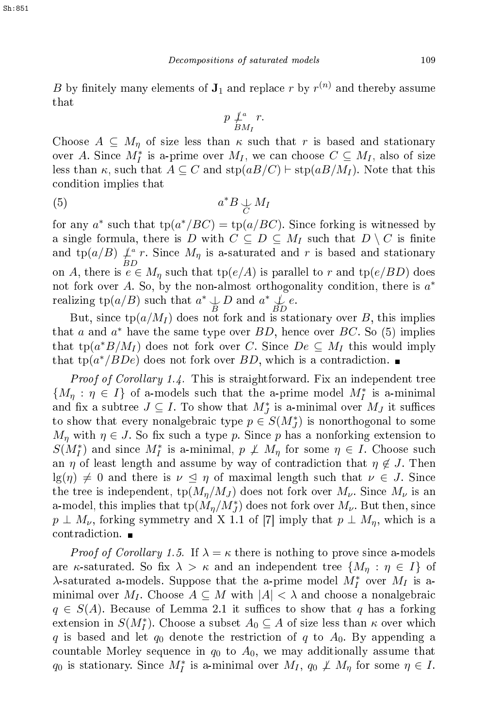$B$  by finitely many elements of  $J_1$  and replace  $r$  by  $r^{(n)}$  and thereby assume that

$$
p \nmid_{BM_I}^a r.
$$

Choose  $A \subseteq M_n$  of size less than  $\kappa$  such that r is based and stationary over A. Since  $M_I^*$  is a-prime over  $M_I$ , we can choose  $C \subseteq M_I$ , also of size less than  $\kappa$ , such that  $A \subseteq C$  and  $\text{stp}(aB/C) \vdash \text{stp}(aB/M_I)$ . Note that this ondition implies that

$$
(5) \t a^*B \underset{C}{\downarrow} M_I
$$

for any  $a^*$  such that  $tp(a^*/BC) = tp(a/BC)$ . Since forking is witnessed by a single formula, there is D with  $C \subseteq D \subseteq M_I$  such that  $D \setminus C$  is finite and  $\operatorname{tp}(a/B) \not\perp^a$  $\mathcal{L}^a$  r. Since  $M_\eta$  is a-saturated and r is based and stationary on A, there is  $e \in M_\eta$  such that  $tp(e/A)$  is parallel to r and  $tp(e/BD)$  does not fork over A. So, by the non-almost orthogonality condition, there is  $a^*$ realizing  $\operatorname{tp}(a/B)$  such that  $a^* \downarrow D$  and  $a^* \downarrow D$ .

But, since  $tp(a/M_I)$  does not fork and is stationary over B, this implies that  $a$  and  $a^*$  have the same type over  $BD$ , hence over  $BC$ . So (5) implies that  $\text{tp}(a^*B/M_I)$  does not fork over C. Since  $De \subseteq M_I$  this would imply that  $tp(a^*/BDe)$  does not fork over  $BD$ , which is a contradiction.

Proof of Corol lary 1.4. This is straightforward. Fix an independent tree  ${M_{\eta} : \eta \in I}$  of a-models such that the a-prime model  $M_I^*$  is a-minimal and fix a subtree  $J \subseteq I$ . To show that  $M_J^*$  is a-minimal over  $M_J$  it suffices to show that every nonalgebraic type  $p \in S(M^*_J)$  is nonorthogonal to some  $M_n$  with  $\eta \in J$ . So fix such a type p. Since p has a nonforking extension to  $S(M_I^*)$  and since  $M_I^*$  is a-minimal,  $p \not\perp M_\eta$  for some  $\eta \in I$ . Choose such an  $\eta$  of least length and assume by way of contradiction that  $\eta \notin J$ . Then  $\lg(\eta) \neq 0$  and there is  $\nu \leq \eta$  of maximal length such that  $\nu \in J$ . Since the tree is independent,  $\text{tp}(M_{\eta}/M_J)$  does not fork over  $M_{\nu}$ . Since  $M_{\nu}$  is an a-model, this implies that  $\text{tp}(M_\eta/M_{J}^*)$  does not fork over  $M_\nu$ . But then, since  $p \perp M_{\nu}$ , forking symmetry and X 1.1 of [7] imply that  $p \perp M_{\eta}$ , which is a contradiction.  $\blacksquare$ 

*Proof of Corollary 1.5.* If  $\lambda = \kappa$  there is nothing to prove since a-models are  $\kappa$ -saturated. So fix  $\lambda > \kappa$  and an independent tree  $\{M_\eta : \eta \in I\}$  of  $\lambda$ -saturated a-models. Suppose that the a-prime model  $M_I^*$  over  $M_I$  is aminimal over M<sub>I</sub>. Choose  $A \subseteq M$  with  $|A| < \lambda$  and choose a nonalgebraic  $q \in S(A)$ . Because of Lemma 2.1 it suffices to show that q has a forking extension in  $S(M_I^*)$ . Choose a subset  $A_0 \subseteq A$  of size less than  $\kappa$  over which q is based and let  $q_0$  denote the restriction of q to  $A_0$ . By appending a countable Morley sequence in  $q_0$  to  $A_0$ , we may additionally assume that  $q_0$  is stationary. Since  $M_I^*$  is a-minimal over  $M_I$ ,  $q_0 \not\perp M_\eta$  for some  $\eta \in I$ .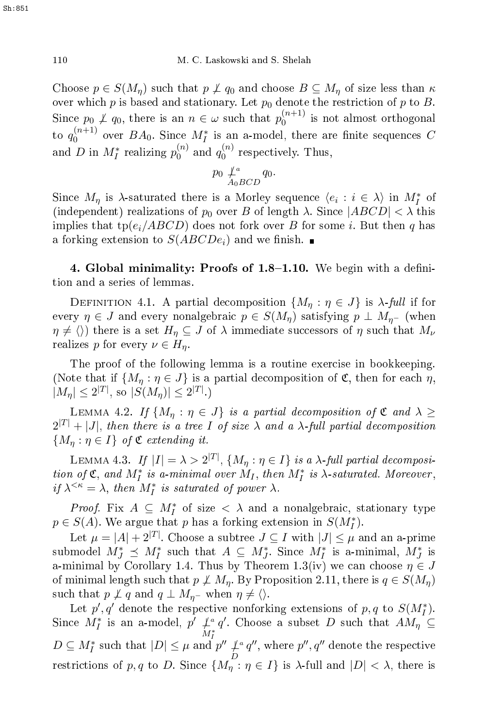Choose  $p \in S(M_n)$  such that  $p \not\perp q_0$  and choose  $B \subseteq M_n$  of size less than  $\kappa$ over which p is based and stationary. Let  $p_0$  denote the restriction of p to B. Since  $p_0 \not\perp q_0$ , there is an  $n \in \omega$  such that  $p_0^{(n+1)}$ 0 is not almost orthogonal to  $q_0^{(n+1)}$  $\binom{n+1}{0}$  over  $BA_0$ . Since  $M_I^*$  is an a-model, there are finite sequences C and D in  $M_I^*$  realizing  $p_0^{(n)}$  $\mathbf{q}_{0}^{(n)}$  and  $q_{0}^{(n)}$  $0$  respectively. Thus,

$$
p_0 \nperp_{A_0 BCD}^a q_0.
$$

Since  $M_{\eta}$  is  $\lambda$ -saturated there is a Morley sequence  $\langle e_i : i \in \lambda \rangle$  in  $M_I^*$  of (independent) realizations of  $p_0$  over B of length  $\lambda$ . Since  $|ABCD| < \lambda$  this implies that tp( $e_i/ABCD$ ) does not fork over B for some i. But then q has a forking extension to  $S(ABCDE_i)$  and we finish.

4. Global minimality: Proofs of  $1.8-1.10$ . We begin with a definition and a series of lemmas.

DEFINITION 4.1. A partial decomposition  $\{M_{\eta} : \eta \in J\}$  is  $\lambda$ -full if for every  $\eta \in J$  and every nonalgebraic  $p \in S(M_{\eta})$  satisfying  $p \perp M_{\eta^-}$  (when  $\eta \neq \langle \rangle$  there is a set  $H_{\eta} \subseteq J$  of  $\lambda$  immediate successors of  $\eta$  such that  $M_{\nu}$ realizes p for every  $\nu \in H_n$ .

The proof of the following lemma is a routine exercise in bookkeeping. (Note that if  $\{M_n : \eta \in J\}$  is a partial decomposition of  $\mathfrak{C}$ , then for each  $\eta$ ,  $|M_{\eta}| \leq 2^{|T|}$ , so  $|S(M_{\eta})| \leq 2^{|T|}$ .)

LEMMA 4.2. If  $\{M_\eta : \eta \in J\}$  is a partial decomposition of  $\mathfrak C$  and  $\lambda \geq$  $2^{|T|} + |J|$ , then there is a tree I of size  $\lambda$  and a  $\lambda$ -full partial decomposition  $\{M_{\eta} : \eta \in I\}$  of  $\mathfrak C$  extending it.

LEMMA 4.3. If  $|I| = \lambda > 2^{|T|}$ ,  $\{M_{\eta} : \eta \in I\}$  is a  $\lambda$ -full partial decomposition of  $\mathfrak{C}$ , and  $M_I^*$  is a-minimal over  $M_I$ , then  $M_I^*$  is  $\lambda$ -saturated. Moreover, if  $\lambda^{<\kappa} = \lambda$ , then  $M_I^*$  is saturated of power  $\lambda$ .

*Proof.* Fix  $A \subseteq M_I^*$  of size  $\langle \lambda \rangle$  and a nonalgebraic, stationary type  $p \in S(A)$ . We argue that p has a forking extension in  $S(M_I^*)$ .

Let  $\mu = |A| + 2^{|T|}$ . Choose a subtree  $J \subseteq I$  with  $|J| \leq \mu$  and an a-prime submodel  $M_J^* \preceq M_I^*$  such that  $A \subseteq M_J^*$ . Since  $M_I^*$  is a-minimal,  $M_J^*$  is a-minimal by Corollary 1.4. Thus by Theorem 1.3(iv) we can choose  $\eta \in J$ of minimal length such that  $p \not\perp M_n$ . By Proposition 2.11, there is  $q \in S(M_n)$ such that  $p \not\perp q$  and  $q \perp M_{\eta^-}$  when  $\eta \neq \langle \rangle$ .

Let  $p', q'$  denote the respective nonforking extensions of  $p, q$  to  $S(M_I^*)$ . Since  $M_I^*$  is an a-model,  $p' \downarrow_a$  $M_I^*$  $D \subseteq M_I^*$  such that  $|D| \leq \mu$  and  $p'' \nmid P$ q'. Choose a subset D such that  $AM_{\eta} \subseteq$ D  $q''$ , where  $p''$ ,  $q''$  denote the respective restrictions of p, q to D. Since  $\{M_{\eta} : \eta \in I\}$  is  $\lambda$ -full and  $|D| < \lambda$ , there is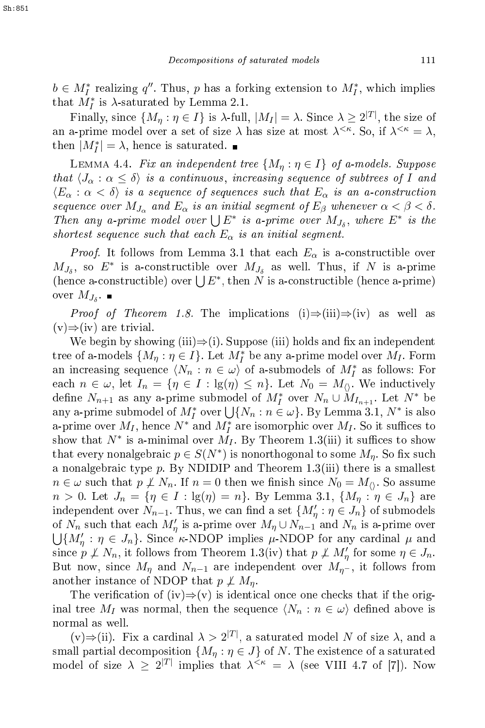$b \in M_I^*$  realizing  $q''$ . Thus, p has a forking extension to  $M_I^*$ , which implies that  $M_I^*$  is  $\lambda$ -saturated by Lemma 2.1.

Finally, since  $\{M_\eta: \eta \in I\}$  is  $\lambda$ -full,  $|M_I| = \lambda$ . Since  $\lambda \geq 2^{|T|}$ , the size of an a-prime model over a set of size  $\lambda$  has size at most  $\lambda^{\leq \kappa}$ . So, if  $\lambda^{\leq \kappa} = \lambda$ , then  $|M_I^*| = \lambda$ , hence is saturated.

LEMMA 4.4. Fix an independent tree  $\{M_n : \eta \in I\}$  of a-models. Suppose that  $\langle J_\alpha : \alpha \leq \delta \rangle$  is a continuous, increasing sequence of subtrees of I and  $\langle E_\alpha : \alpha < \delta \rangle$  is a sequence of sequences such that  $E_\alpha$  is an a-construction sequence over  $M_{J_\alpha}$  and  $E_\alpha$  is an initial segment of  $E_\beta$  whenever  $\alpha < \beta < \delta.$ Then any a-prime model over  $\bigcup E^*$  is a-prime over  $M_{J_\delta}$ , where  $E^*$  is the shortest sequence such that each  $E_{\alpha}$  is an initial segment.

*Proof.* It follows from Lemma 3.1 that each  $E_{\alpha}$  is a-constructible over  $M_{J_\delta}$ , so  $E^*$  is a-constructible over  $M_{J_\delta}$  as well. Thus, if N is a-prime (hence a-constructible) over  $\bigcup E^*$ , then N is a-constructible (hence a-prime) over  $M_{J_\delta}$ .

*Proof of Theorem 1.8*. The implications (i)⇒(iii)⇒(iv) as well as  $(v) \Rightarrow (iv)$  are trivial.

We begin by showing (iii) $\Rightarrow$ (i). Suppose (iii) holds and fix an independent tree of a-models  $\{M_\eta: \eta \in I\}$ . Let  $M_I^\ast$  be any a-prime model over  $M_I$ . Form an increasing sequence  $\langle N_n : n \in \omega \rangle$  of a-submodels of  $M_I^*$  as follows: For each  $n \in \omega$ , let  $I_n = \{ \eta \in I : \lg(\eta) \leq n \}$ . Let  $N_0 = M_0$ . We inductively define  $N_{n+1}$  as any a-prime submodel of  $M_I^*$  over  $N_n \cup M_{I_{n+1}}$ . Let  $N^*$  be any a-prime submodel of  $M_I^*$  over  $\bigcup \{N_n : n \in \omega\}$ . By Lemma 3.1,  $N^*$  is also a-prime over  $M_I$ , hence  $N^*$  and  $M_I^*$  are isomorphic over  $M_I$ . So it suffices to show that  $N^*$  is a-minimal over  $M_I$ . By Theorem 1.3(iii) it suffices to show that every nonalgebraic  $p \in S(N^*)$  is nonorthogonal to some  $M_\eta$ . So fix such a nonalgebraic type  $p$ . By NDIDIP and Theorem 1.3(iii) there is a smallest  $n \in \omega$  such that  $p \not\perp N_n$ . If  $n = 0$  then we finish since  $N_0 = M_0$ . So assume  $n > 0$ . Let  $J_n = \{ \eta \in I : \lg(\eta) = n \}$ . By Lemma 3.1,  $\{ M_\eta : \eta \in J_n \}$  are independent over  $N_{n-1}$ . Thus, we can find a set  $\{M'_{\eta} : \eta \in J_n\}$  of submodels of  $N_n$  such that each  $M'_\eta$  is a-prime over  $M_\eta \cup N_{n-1}$  and  $N_n$  is a-prime over  $\bigcup \{M'_\eta : \eta \in J_n\}.$  Since K-NDOP implies  $\mu$ -NDOP for any cardinal  $\mu$  and since  $p \not\perp N_n$ , it follows from Theorem 1.3(iv) that  $p \not\perp M'_\eta$  for some  $\eta \in J_n$ . But now, since  $M_{\eta}$  and  $N_{n-1}$  are independent over  $M_{\eta}$ , it follows from another instance of NDOP that  $p \not\perp M_n$ .

The verification of  $(iv) \Rightarrow (v)$  is identical once one checks that if the original tree  $M_I$  was normal, then the sequence  $\langle N_n : n \in \omega \rangle$  defined above is normal as well.

 $(v) \Rightarrow (ii)$ . Fix a cardinal  $\lambda > 2^{|T|}$ , a saturated model N of size  $\lambda$ , and a small partial decomposition  $\{M_n : \eta \in J\}$  of N. The existence of a saturated model of size  $\lambda \geq 2^{|T|}$  implies that  $\lambda^{<\kappa} = \lambda$  (see VIII 4.7 of [7]). Now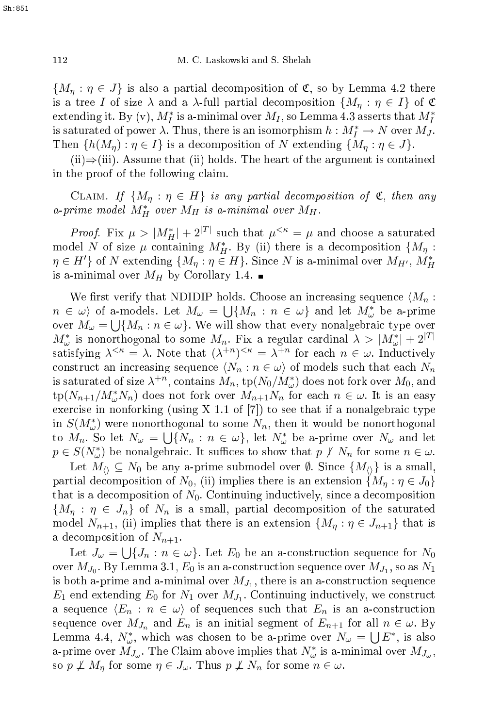${M_n : \eta \in J}$  is also a partial decomposition of  $\mathfrak{C}$ , so by Lemma 4.2 there is a tree I of size  $\lambda$  and a  $\lambda$ -full partial decomposition  $\{M_{\eta} : \eta \in I\}$  of  $\mathfrak C$ extending it. By (v),  $M_I^*$  is a-minimal over  $M_I$ , so Lemma 4.3 asserts that  $M_I^*$ is saturated of power  $\lambda$ . Thus, there is an isomorphism  $h: M_I^* \to N$  over  $M_J$ . Then  $\{h(M_n): \eta \in I\}$  is a decomposition of N extending  $\{M_n: \eta \in J\}$ .

(ii) $\Rightarrow$ (iii). Assume that (ii) holds. The heart of the argument is contained in the proof of the following laim.

CLAIM. If  $\{M_n : \eta \in H\}$  is any partial decomposition of  $\mathfrak{C}$ , then any a-prime model  $M_H^*$  over  $M_H$  is a-minimal over  $M_H$ .

*Proof.* Fix  $\mu > |M_H^*| + 2^{|T|}$  such that  $\mu^{< \kappa} = \mu$  and choose a saturated model N of size  $\mu$  containing  $M_H^*$ . By (ii) there is a decomposition  $\{M_\eta :$  $\eta \in H'$ } of N extending  $\{M_\eta : \eta \in H\}$ . Since N is a-minimal over  $M_{H'}$ ,  $M_H^*$ is a-minimal over  $M_H$  by Corollary 1.4.

We first verify that NDIDIP holds. Choose an increasing sequence  $\langle M_n :$  $n \in \omega$  of a-models. Let  $M_\omega = \bigcup \{M_n : n \in \omega\}$  and let  $M_\omega^*$  be a-prime over  $M_{\omega} = \bigcup \{M_n : n \in \omega\}$ . We will show that every nonalgebraic type over  $M^*_{\omega}$  is nonorthogonal to some  $M_n$ . Fix a regular cardinal  $\lambda > |M^*_{\omega}| + 2^{|T|}$ satisfying  $\lambda^{<\kappa} = \lambda$ . Note that  $(\lambda^{+n})^{<\kappa} = \lambda^{+n}$  for each  $n \in \omega$ . Inductively construct an increasing sequence  $\langle N_n : n \in \omega \rangle$  of models such that each  $N_n$ is saturated of size  $\lambda^{+n}$ , contains  $M_n,$   $\text{tp}(N_0/M^*_{\omega})$  does not fork over  $M_0,$  and  $\text{tp}(N_{n+1}/M^*_{\omega}N_n)$  does not fork over  $M_{n+1}N_n$  for each  $n \in \omega$ . It is an easy exercise in nonforking (using X 1.1 of  $[7]$ ) to see that if a nonalgebraic type in  $S(M^*_{\omega})$  were nonorthogonal to some  $N_n$ , then it would be nonorthogonal to  $M_n$ . So let  $N_\omega = \bigcup \{N_n : n \in \omega\}$ , let  $N_\omega^*$  be a-prime over  $N_\omega$  and let  $p \in S(N^*_{\omega})$  be nonalgebraic. It suffices to show that  $p \not\perp N_n$  for some  $n \in \omega$ .

Let  $M_{\Diamond} \subseteq N_0$  be any a-prime submodel over  $\emptyset$ . Since  $\{M_{\Diamond}\}\$ is a small, partial decomposition of  $N_0$ , (ii) implies there is an extension  $\{M_\eta : \eta \in J_0\}$ that is a decomposition of  $N_0$ . Continuing inductively, since a decomposition  ${M_{\eta}:\eta\in J_n}$  of  $N_n$  is a small, partial decomposition of the saturated model  $N_{n+1}$ , (ii) implies that there is an extension  $\{M_{\eta} : \eta \in J_{n+1}\}\)$  that is a decomposition of  $N_{n+1}$ .

Let  $J_{\omega} = \bigcup \{J_n : n \in \omega\}$ . Let  $E_0$  be an a-construction sequence for  $N_0$ over  $M_{J_0}.$  By Lemma 3.1,  $E_0$  is an a-construction sequence over  $M_{J_1},$  so as  $N_1$ is both a-prime and a-minimal over  $M_{J_1},$  there is an a-construction sequence  $E_1$  end extending  $E_0$  for  $N_1$  over  $M_{J_1}$ . Continuing inductively, we construct a sequence  $\langle E_n : n \in \omega \rangle$  of sequences such that  $E_n$  is an a-construction sequence over  $M_{J_n}$  and  $E_n$  is an initial segment of  $E_{n+1}$  for all  $n \in \omega$ . By Lemma 4.4,  $N^*_{\omega}$ , which was chosen to be a-prime over  $N_{\omega} = \bigcup E^*$ , is also a-prime over  $M_{J_{\omega}}$ . The Claim above implies that  $N_{\omega}^*$  is a-minimal over  $M_{J_{\omega}}$ , so  $p \not\perp M_n$  for some  $\eta \in J_\omega$ . Thus  $p \not\perp N_n$  for some  $n \in \omega$ .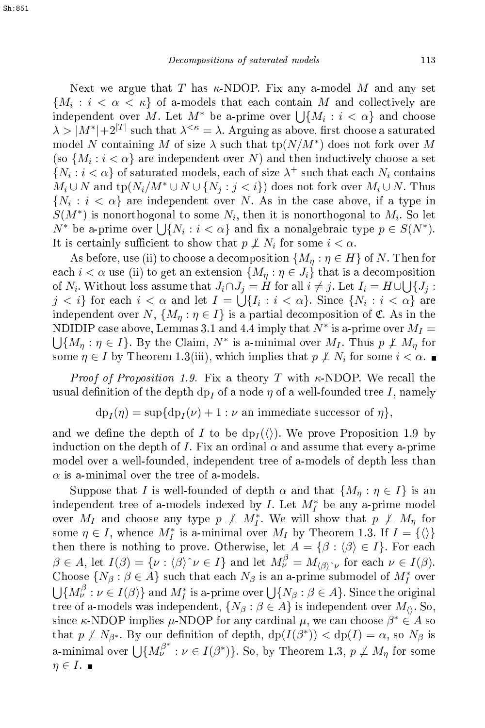Next we argue that T has  $\kappa$ -NDOP. Fix any a-model M and any set  $\{M_i : i < \alpha < \kappa\}$  of a-models that each contain  $M$  and collectively are independent over M. Let  $M^*$  be a-prime over  $\bigcup \{M_i : i < \alpha\}$  and choose  $\lambda > |M^*| + 2^{|T|}$  such that  $\lambda^{<\kappa} = \lambda$ . Arguing as above, first choose a saturated model N containing M of size  $\lambda$  such that  $\text{tp}(N/M^*)$  does not fork over M (so  $\{M_i : i < \alpha\}$  are independent over N) and then inductively choose a set  $\{N_i : i < \alpha\}$  of saturated models, each of size  $\lambda^+$  such that each  $N_i$  contains  $M_i \cup N$  and  $\text{tp}(N_i/M^* \cup N \cup \{N_j : j < i\})$  does not fork over  $M_i \cup N$ . Thus  $\{N_i : i < \alpha\}$  are independent over N. As in the case above, if a type in  $S(M^*)$  is nonorthogonal to some  $N_i$ , then it is nonorthogonal to  $M_i$ . So let  $N^*$  be a-prime over  $\bigcup \{N_i : i < \alpha\}$  and fix a nonalgebraic type  $p \in S(N^*)$ . It is certainly sufficient to show that  $p \not\perp N_i$  for some  $i < \alpha$ .

As before, use (ii) to choose a decomposition  $\{M_{\eta} : \eta \in H\}$  of N. Then for each  $i < \alpha$  use (ii) to get an extension  $\{M_{\eta} : \eta \in J_i\}$  that is a decomposition of  $N_i$ . Without loss assume that  $J_i \cap J_j = H$  for all  $i \neq j$ . Let  $I_i = H \cup \bigcup \{J_j :$  $j < i$ } for each  $i < \alpha$  and let  $I = \bigcup_{i=1}^{i} \{I_i : i < \alpha\}$ . Since  $\{N_i : i < \alpha\}$  are independent over  $N, \{M_n : \eta \in I\}$  is a partial decomposition of  $\mathfrak{C}$ . As in the NDIDIP case above, Lemmas 3.1 and 4.4 imply that  $N^*$  is a-prime over  $M_I =$ <br> $\cup$   $\{M_m : n \in I\}$ . By the Claim,  $N^*$  is a-minimal over  $M_I$ . Thus  $n \not\in M_m$  for  $\{M_{\eta} : \eta \in I\}$ . By the Claim,  $N^*$  is a-minimal over  $M_I$ . Thus  $p \not\perp M_{\eta}$  for some  $\eta \in I$  by Theorem 1.3(iii), which implies that  $p \not\perp N_i$  for some  $i < \alpha$ .

*Proof of Proposition 1.9.* Fix a theory T with  $\kappa$ -NDOP. We recall the usual definition of the depth dp<sub>I</sub> of a node  $\eta$  of a well-founded tree I, namely

$$
dp_I(\eta) = \sup\{dp_I(\nu) + 1 : \nu \text{ an immediate successor of } \eta\},\
$$

and we define the depth of  $I$  to be  $dp_I(\langle \rangle)$ . We prove Proposition 1.9 by induction on the depth of I. Fix an ordinal  $\alpha$  and assume that every a-prime model over a well-founded, independent tree of a-models of depth less than  $\alpha$  is a-minimal over the tree of a-models.

Suppose that I is well-founded of depth  $\alpha$  and that  $\{M_n : \eta \in I\}$  is an independent tree of a-models indexed by  $I$ . Let  $M_I^*$  be any a-prime model over  $M_I$  and choose any type  $p \not\perp M_I^*$ . We will show that  $p \not\perp M_{\eta}$  for some  $\eta \in I$ , whence  $M_I^*$  is a-minimal over  $M_I$  by Theorem 1.3. If  $I = \{\langle\rangle\}$ then there is nothing to prove. Otherwise, let  $A = \{ \beta : \langle \beta \rangle \in I \}$ . For each  $\beta \in A$ , let  $I(\beta) = \{ \nu : \langle \beta \rangle \hat{\ } \nu \in I \}$  and let  $M_{\nu}^{\beta} = M_{\langle \beta \rangle \hat{\ } \nu}$  for each  $\nu \in I(\beta)$ . Choose  $\{N_\beta : \beta \in A\}$  such that each  $N_\beta$  is an a-prime submodel of  $M_I^*$  over  $\bigcup \{ M^{\beta}_\nu : \nu \in I(\beta) \}$  and  $M^*_I$  is a-prime over  $\bigcup \{ N_\beta : \beta \in A \}.$  Since the original tree of a-models was independent,  $\{N_\beta : \beta \in A\}$  is independent over  $M_\beta$ . So, since  $\kappa\text{-NDOP}$  implies  $\mu\text{-NDOP}$  for any cardinal  $\mu,$  we can choose  $\beta^*\in A$  so that  $p \not\perp N_{\beta^*}$ . By our definition of depth,  $dp(I(\beta^*)) < dp(I) = \alpha$ , so  $N_{\beta}$  is a-minimal over  $\bigcup \{ M_{\nu}^{\beta^*} : \nu \in I(\beta^*) \}$ . So, by Theorem 1.3,  $p \not\perp M_{\eta}$  for some  $\eta \in I$ .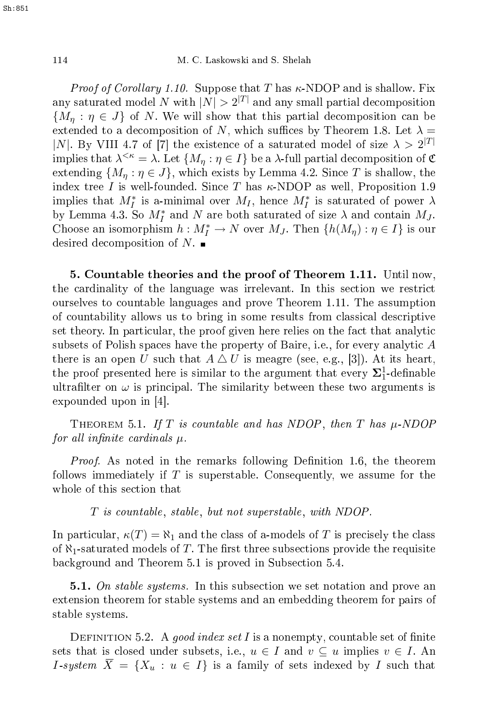*Proof of Corollary 1.10.* Suppose that T has  $\kappa$ -NDOP and is shallow. Fix any saturated model N with  $|N| > 2^{|T|}$  and any small partial decomposition  ${M_n : \eta \in J}$  of N. We will show that this partial decomposition can be extended to a decomposition of N, which suffices by Theorem 1.8. Let  $\lambda =$ |N|. By VIII 4.7 of [7] the existence of a saturated model of size  $\lambda > 2^{|T|}$ implies that  $\lambda^{<\kappa} = \lambda$ . Let  $\{M_\eta : \eta \in I\}$  be a  $\lambda$ -full partial decomposition of  $\mathfrak C$ extending  $\{M_n : \eta \in J\}$ , which exists by Lemma 4.2. Since T is shallow, the index tree I is well-founded. Since T has  $\kappa$ -NDOP as well, Proposition 1.9 implies that  $M_I^*$  is a-minimal over  $M_I$ , hence  $M_I^*$  is saturated of power  $\lambda$ by Lemma 4.3. So  $M_I^*$  and N are both saturated of size  $\lambda$  and contain  $M_J$ . Choose an isomorphism  $h: M_I^* \to N$  over  $M_J$ . Then  $\{h(M_\eta): \eta \in I\}$  is our desired decomposition of  $N$ .

5. Countable theories and the proof of Theorem 1.11. Until now, the cardinality of the language was irrelevant. In this section we restrict ourselves to ountable languages and prove Theorem 1.11. The assumption of ountability allows us to bring in some results from lassi
al des
riptive set theory. In particular, the proof given here relies on the fact that analytic subsets of Polish spa
es have the property of Baire, i.e., for every analyti A there is an open U such that  $A \Delta U$  is meagre (see, e.g., [3]). At its heart, the proof presented here is similar to the argument that every  $\mathbf{\Sigma}^1_1$ -definable ultrafilter on  $\omega$  is principal. The similarity between these two arguments is expounded upon in  $[4]$ .

THEOREM 5.1. If T is countable and has NDOP, then T has  $\mu\text{-NDOP}$ for all infinite cardinals  $\mu$ .

Proof. As noted in the remarks following Denition 1.6, the theorem follows immediately if  $T$  is superstable. Consequently, we assume for the whole of this se
tion that

T is countable, stable, but not superstable, with NDOP.

In particular,  $\kappa(T) = \aleph_1$  and the class of a-models of T is precisely the class of  $\aleph_1$ -saturated models of T. The first three subsections provide the requisite ba
kground and Theorem 5.1 is proved in Subse
tion 5.4.

**5.1.** On stable systems. In this subsection we set notation and prove an extension theorem for stable systems and an embedding theorem for pairs of stable systems.

DEFINITION 5.2. A good index set I is a nonempty, countable set of finite sets that is closed under subsets, i.e.,  $u \in I$  and  $v \subseteq u$  implies  $v \in I$ . An *I*-system  $\overline{X} = \{X_u : u \in I\}$  is a family of sets indexed by *I* such that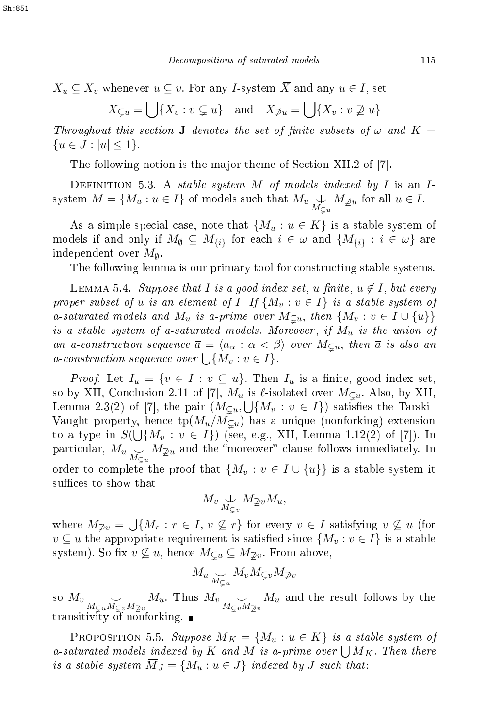$$
X_u \subseteq X_v \text{ whenever } u \subseteq v. \text{ For any } I\text{-system } \overline{X} \text{ and any } u \in I, \text{ set}
$$

$$
X_{\subsetneq u} = \bigcup \{ X_v : v \subsetneq u \} \text{ and } X_{\supsetneq u} = \bigcup \{ X_v : v \not\supseteq u \}
$$

Throughout this section **J** denotes the set of finite subsets of  $\omega$  and  $K =$  ${u \in J : |u| \leq 1}.$ 

The following notion is the major theme of Section XII.2 of [7].

DEFINITION 5.3. A stable system  $\overline{M}$  of models indexed by I is an Isystem  $M = \{M_u : u \in I\}$  of models such that  $M_u \underset{M \subsetneq u}{\cup} M_{\mathbb{Z}u}$  for all  $u \in I$ .

As a simple special case, note that  $\{M_u : u \in K\}$  is a stable system of models if and only if  $M_{\emptyset} \subseteq M_{\{i\}}$  for each  $i \in \omega$  and  $\{M_{\{i\}}: i \in \omega\}$  are independent over  $M_{\emptyset}$ .

The following lemma is our primary tool for constructing stable systems.

LEMMA 5.4. Suppose that I is a good index set, u finite,  $u \notin I$ , but every proper subset of  $u$  is an element of  $I$ . If  $\{M_v : v \in I\}$  is a stable system of a-saturated models and  $M_u$  is a-prime over  $M_{\subsetneq u}$ , then  $\{M_v : v \in I \cup \{u\}\}\$ is a stable system of a-saturated models. Moreover, if  $M_u$  is the union of an a-construction sequence  $\overline{a} = \langle a_{\alpha} : \alpha < \beta \rangle$  over  $M_{\subsetneq u}$ , then  $\overline{a}$  is also an *a*-construction sequence over  $\bigcup \{M_v : v \in I\}$ .

*Proof.* Let  $I_u = \{v \in I : v \subseteq u\}$ . Then  $I_u$  is a finite, good index set, so by XII, Conclusion 2.11 of [7],  $M_u$  is  $\ell$ -isolated over  $M_{\subset u}$ . Also, by XII, Lemma 2.3(2) of [7], the pair  $(M_{\subsetneq u},\bigcup\{M_v: v \in I\})$  satisfies the Tarski-Vaught property, hence  $tp(M_u/M_{\subseteq u})$  has a unique (nonforking) extension to a type in  $S(\bigcup \{M_v : v \in I\})$  (see, e.g., XII, Lemma 1.12(2) of [7]). In particular,  $M_u \underset{M \subsetneq u}{\downarrow} M_{\mathbb{Z}^u}$  and the "moreover" clause follows immediately. In order to complete the proof that  $\{M_v : v \in I \cup \{u\}\}\$ is a stable system it suffices to show that

$$
M_v \underset{M_{\subsetneq v}}{\cup} M_{\mathbb{Z}v} M_u,
$$

where  $M_{\bar{Z}v} = \bigcup \{M_r : r \in I, v \nsubseteq r\}$  for every  $v \in I$  satisfying  $v \nsubseteq u$  (for  $v \subseteq u$  the appropriate requirement is satisfied since  $\{M_v : v \in I\}$  is a stable system). So fix  $v \not\subseteq u$ , hence  $M_{\subseteq u} \subseteq M_{\supseteq v}$ . From above,

$$
M_u \underset{M \subsetneq u}{\cup} M_v M_{\subsetneq v} M_{\not\supseteq v}
$$

so  $M_v$   $\bigcup_{M \subsetneq u} M_{\mathbb{Z}v} M_{\mathbb{Z}v}$ . Thus  $M_v$   $\bigcup_{M \subsetneq v} M_{\mathbb{Z}v} M_{\mathbb{Z}v}$  and the result follows by the transitivity of nonforking.

PROPOSITION 5.5. Suppose  $\overline{M}_K = \{M_u : u \in K\}$  is a stable system of a-saturated models indexed by K and M is a-prime over  $\bigcup \overline{M}_K$ . Then there is a stable system  $M_J = \{M_u : u \in J\}$  indexed by J such that: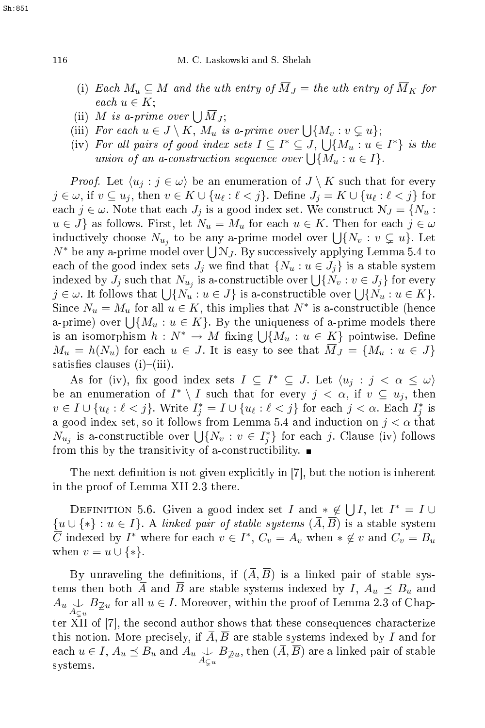- (i) Each  $M_u \subseteq M$  and the uth entry of  $\overline{M}_J$  = the uth entry of  $\overline{M}_K$  for  $each u \in K;$
- (ii) M is a-prime over  $\bigcup \overline{M}_J$ ;
- (iii) For each  $u \in J \setminus K$ ,  $M_u$  is a-prime over  $\bigcup \{M_v : v \subsetneq u\};$
- (iv) For all pairs of good index sets  $I \subseteq I^* \subseteq J$ ,  $\bigcup \{M_u : u \in I^*\}$  is the union of an a-construction sequence over  $\bigcup \{M_u : u \in I\}.$

*Proof.* Let  $\langle u_j : j \in \omega \rangle$  be an enumeration of  $J \setminus K$  such that for every  $j \in \omega, \text{ if } v \subseteq u_j, \text{ then } v \in K \cup \{u_\ell : \ell < j\}. \text{ Define } J_j = K \cup \{u_\ell : \ell < j\} \text{ for }$ each  $j \in \omega$ . Note that each  $J_j$  is a good index set. We construct  $\mathcal{N}_J = \{N_u :$  $u \in J$  as follows. First, let  $N_u = M_u$  for each  $u \in K$ . Then for each  $j \in \omega$ inductively choose  $N_{u_j}$  to be any a-prime model over  $\bigcup \{N_v : v \subsetneq u\}$ . Let  $N^*$  be any a-prime model over  $\bigcup N_J$ . By successively applying Lemma 5.4 to each of the good index sets  $J_j$  we find that  $\{N_u : u \in J_j\}$  is a stable system indexed by  $J_j$  such that  $N_{u_j}$  is a-constructible over  $\bigcup \{N_v : v \in J_j\}$  for every  $j \in \omega$ . It follows that  $\bigcup \{N_u : u \in J\}$  is a-constructible over  $\bigcup \{N_u : u \in K\}$ . Since  $N_u = M_u$  for all  $u \in K$ , this implies that  $N^*$  is a-constructible (hence a-prime) over  $\bigcup \{M_u : u \in K\}$ . By the uniqueness of a-prime models there is an isomorphism  $h: N^* \to M$  fixing  $\bigcup \{M_u : u \in K\}$  pointwise. Define  $M_u = h(N_u)$  for each  $u \in J$ . It is easy to see that  $\overline{M}_J = \{M_u : u \in J\}$ satisfies clauses  $(i)$ – $(iii)$ .

As for (iv), fix good index sets  $I \subseteq I^* \subseteq J$ . Let  $\langle u_j : j < \alpha \leq \omega \rangle$ be an enumeration of  $I^* \setminus I$  such that for every  $j < \alpha$ , if  $v \subseteq u_j$ , then  $v \in I \cup \{u_\ell : \ell < j\}$ . Write  $I_j^* = I \cup \{u_\ell : \ell < j\}$  for each  $j < \alpha$ . Each  $I_j^*$  is a good index set, so it follows from Lemma 5.4 and induction on  $j < \alpha$  that  $\overline{N_{u_j}}$  is a-constructible over  $\bigcup \{N_v : v \in I_j^*\}$  for each j. Clause (iv) follows from this by the transitivity of a-constructibility.  $\blacksquare$ 

The next definition is not given explicitly in  $[7]$ , but the notion is inherent in the proof of Lemma XII 2.3 there.

DEFINITION 5.6. Given a good index set I and  $* \notin \bigcup I$ , let  $I^* = I \cup$  ${u \cup \{*\} : u \in I\}$ . A linked pair of stable systems  $(\overline{A}, \overline{B})$  is a stable system  $\overline{C}$  indexed by  $I^*$  where for each  $v \in I^*$ ,  $C_v = A_v$  when  $*\notin v$  and  $C_v = B_u$ when  $v = u \cup \{*\}.$ 

By unraveling the definitions, if  $(\overline{A}, \overline{B})$  is a linked pair of stable systems then both  $\overline{A}$  and  $\overline{B}$  are stable systems indexed by I,  $A_u \preceq B_u$  and  $A_u \underset{A_{\subseteq u}}{\cup} B_{\mathcal{Z}u}$  for all  $u \in I$ . Moreover, within the proof of Lemma 2.3 of Chapter XII of [7], the second author shows that these consequences characterize this notion. More precisely, if  $A, B$  are stable systems indexed by I and for each  $u \in I$ ,  $A_u \preceq B_u$  and  $A_u \underset{A_{\subseteq u}}{\cup} B_{\mathbb{Z}u}$ , then  $(A, B)$  are a linked pair of stable<br>systems systems.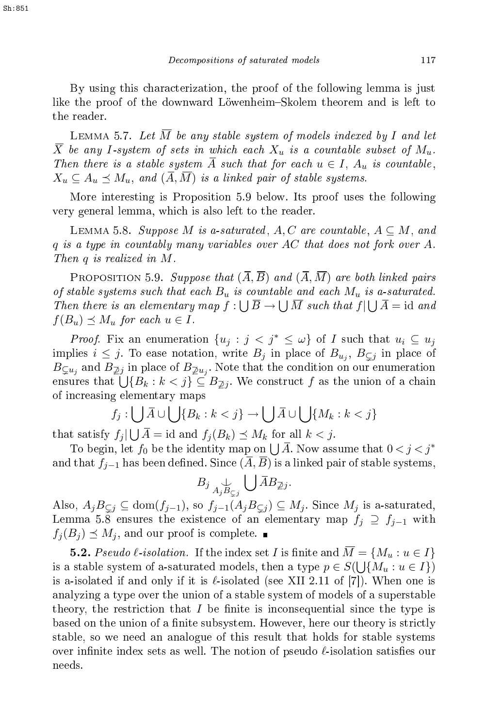By using this hara
terization, the proof of the following lemma is just like the proof of the downward Löwenheim–Skolem theorem and is left to the reader.

LEMMA 5.7. Let  $\overline{M}$  be any stable system of models indexed by I and let  $\overline{X}$  be any I-system of sets in which each  $X_u$  is a countable subset of  $M_u$ . Then there is a stable system A such that for each  $u \in I$ ,  $A_u$  is countable,  $X_u \subseteq A_u \preceq M_u$ , and  $(\overline{A}, \overline{M})$  is a linked pair of stable systems.

More interesting is Proposition 5.9 below. Its proof uses the following  $M_{\rm{max}}$  is Proposition 5.9 below. Its proposition  $P$ very general lemma, whi
h is also left to the reader.

LEMMA 5.8. Suppose M is a-saturated,  $A, C$  are countable,  $A \subseteq M$ , and  $q$  is a type in countably many variables over AC that does not fork over A. Then  $q$  is realized in  $M$ .

PROPOSITION 5.9. Suppose that  $(\overline{A}, \overline{B})$  and  $(\overline{A}, \overline{M})$  are both linked pairs of stable systems such that each  $B_u$  is countable and each  $M_u$  is a-saturated. Then there is an elementary map  $f: \bigcup \overline{B} \to \bigcup \overline{M}$  such that  $f \mid \bigcup \overline{A} = id$  and  $f(B_u) \preceq M_u$  for each  $u \in I$ .

*Proof.* Fix an enumeration  $\{u_j : j < j^* \leq \omega\}$  of I such that  $u_i \subseteq u_j$ implies  $i \leq j$ . To ease notation, write  $B_j$  in place of  $B_{u_j}, B_{\subsetneq j}$  in place of  $B_{\subsetneq u_j}$  and  $B_{\not\supseteq j}$  in place of  $B_{\not\supseteq u_j}.$  Note that the condition on our enumeration ensures that  $\bigcup {\{B_k : k < j\}} \subseteq B_{\mathbb{Z}j}$ . We construct f as the union of a chain of in
reasing elementary maps

$$
f_j: \bigcup \overline{A} \cup \bigcup \{B_k : k < j\} \to \bigcup \overline{A} \cup \bigcup \{M_k : k < j\}
$$

that satisfy  $f_j | \bigcup \overline{A} = id$  and  $f_j(B_k) \preceq M_k$  for all  $k < j$ .

To begin, let  $f_0$  be the identity map on  $\bigcup \overline{A}$ . Now assume that  $0 < j < j^*$ and that  $f_{j-1}$  has been defined. Since  $(\overline{A}, \overline{B})$  is a linked pair of stable systems,

$$
B_j \underset{A_j B_{\subsetneq j}}{\cup} \bigcup \overline{A} B_{\mathbb{Z} j}.
$$

Also,  $A_jB_{\subseteq j} \subseteq \text{dom}(f_{j-1}),$  so  $f_{j-1}(A_jB_{\subseteq j}) \subseteq M_j$ . Since  $M_j$  is a-saturated, Lemma 5.8 ensures the existence of an elementary map  $f_j \supseteq f_{j-1}$  with  $f_i(B_i) \preceq M_i$ , and our proof is complete.

**5.2.** Pseudo  $\ell$ -isolation. If the index set I is finite and  $\overline{M} = \{M_u : u \in I\}$ is a stable system of a-saturated models, then a type  $p \in S(\bigcup \{\stackrel{\cdot}{M}_u: u \in I\})$ is a-isolated if and only if it is  $\ell$ -isolated (see XII 2.11 of [7]). When one is analyzing a type over the union of a stable system of models of a superstable theory, the restriction that  $I$  be finite is inconsequential since the type is based on the union of a finite subsystem. However, here our theory is strictly stable, so we need an analogue of this result that holds for stable systems over infinite index sets as well. The notion of pseudo  $\ell$ -isolation satisfies our needs.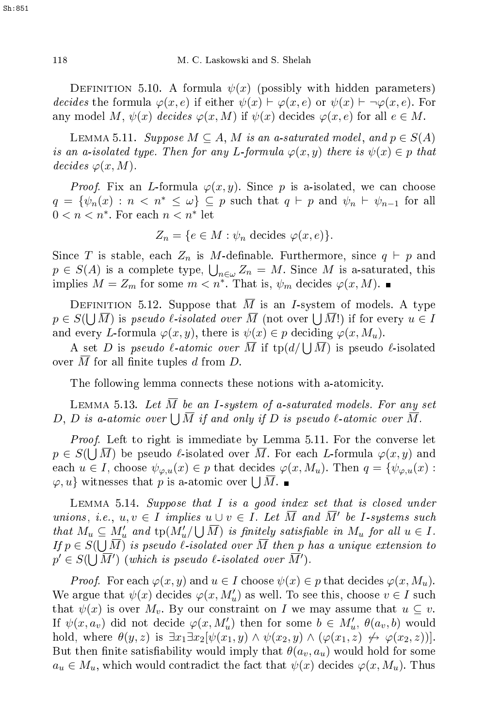DEFINITION 5.10. A formula  $\psi(x)$  (possibly with hidden parameters) decides the formula  $\varphi(x, e)$  if either  $\psi(x) \vdash \varphi(x, e)$  or  $\psi(x) \vdash \neg \varphi(x, e)$ . For any model M,  $\psi(x)$  decides  $\varphi(x, M)$  if  $\psi(x)$  decides  $\varphi(x, e)$  for all  $e \in M$ .

LEMMA 5.11. Suppose  $M \subseteq A$ , M is an a-saturated model, and  $p \in S(A)$ is an a-isolated type. Then for any L-formula  $\varphi(x,y)$  there is  $\psi(x) \in p$  that decides  $\varphi(x,M)$ .

*Proof.* Fix an L-formula  $\varphi(x,y)$ . Since p is a-isolated, we can choose  $q = {\psi_n(x) : n < n^* \leq \omega} \subseteq p$  such that  $q \vdash p$  and  $\psi_n \vdash \psi_{n-1}$  for all  $0 < n < n^*$ . For each  $n < n^*$  let

$$
Z_n = \{ e \in M : \psi_n \text{ decides } \varphi(x, e) \}.
$$

Since T is stable, each  $Z_n$  is M-definable. Furthermore, since  $q \vdash p$  and  $p \in S(A)$  is a complete type,  $\bigcup_{n \in \omega} Z_n = M$ . Since M is a saturated, this implies  $M = Z_m$  for some  $m < n^*$ . That is,  $\psi_m$  decides  $\varphi(x, M)$ .

DEFINITION 5.12. Suppose that M is an I-system of models. A type  $p \in S(\bigcup \overline{M})$  is pseudo l-isolated over  $\overline{M}$  (not over  $\bigcup \overline{M}$ !) if for every  $u \in I$ and every L-formula  $\varphi(x, y)$ , there is  $\psi(x) \in p$  deciding  $\varphi(x, M_u)$ .

A set D is pseudo  $\ell$ -atomic over  $\overline{M}$  if  $\text{tp}(d/\bigcup \overline{M})$  is pseudo  $\ell$ -isolated over  $M$  for all finite tuples  $d$  from  $D$ .

The following lemma connects these notions with a-atomicity.

LEMMA 5.13. Let  $\overline{M}$  be an I-system of a-saturated models. For any set D, D is a-atomic over  $\bigcup \overline{M}$  if and only if D is pseudo  $\ell$ -atomic over  $\overline{\tilde{M}}$ .

Proof. Left to right is immediate by Lemma 5.11. For the onverse let  $p \in S(\bigcup \overline{M})$  be pseudo  $\ell$ -isolated over  $\overline{M}$ . For each L-formula  $\varphi(x, y)$  and each  $u \in I$ , choose  $\psi_{\varphi,u}(x) \in p$  that decides  $\varphi(x, M_u)$ . Then  $q = \{\psi_{\varphi,u}(x) :$  $\varphi, u$  witnesses that p is a-atomic over  $\bigcup \overline{M}$ .

LEMMA 5.14. Suppose that  $I$  is a good index set that is closed under unions, i.e.,  $u, v \in I$  implies  $u \cup v \in I$ . Let  $\overline{M}$  and  $\overline{M}'$  be I-systems such that  $M_u \subseteq M'_u$  and  $\text{tp}(M'_u/\bigcup \overline{M})$  is finitely satisfiable in  $M_u$  for all  $u \in I$ . If  $p \in S(\bigcup \overline{M})$  is pseudo l-isolated over  $\overline{M}$  then p has a unique extension to  $p' \in S(\bigcup \overline{M}')$  (which is pseudo  $\ell$ -isolated over  $\overline{M}'$ ).

*Proof.* For each  $\varphi(x, y)$  and  $u \in I$  choose  $\psi(x) \in p$  that decides  $\varphi(x, M_u)$ . We argue that  $\psi(x)$  decides  $\varphi(x, M'_u)$  as well. To see this, choose  $v \in I$  such that  $\psi(x)$  is over  $M_v$ . By our constraint on I we may assume that  $u \subseteq v$ . If  $\psi(x, a_v)$  did not decide  $\varphi(x, M'_u)$  then for some  $b \in M'_u$ ,  $\theta(a_v, b)$  would hold, where  $\theta(y, z)$  is  $\exists x_1 \exists x_2 [\psi(x_1, y) \wedge \psi(x_2, y) \wedge (\varphi(x_1, z) \leftrightarrow \varphi(x_2, z))].$ But then finite satisfiability would imply that  $\theta(a_v, a_u)$  would hold for some  $a_u \in M_u$ , which would contradict the fact that  $\psi(x)$  decides  $\varphi(x, M_u)$ . Thus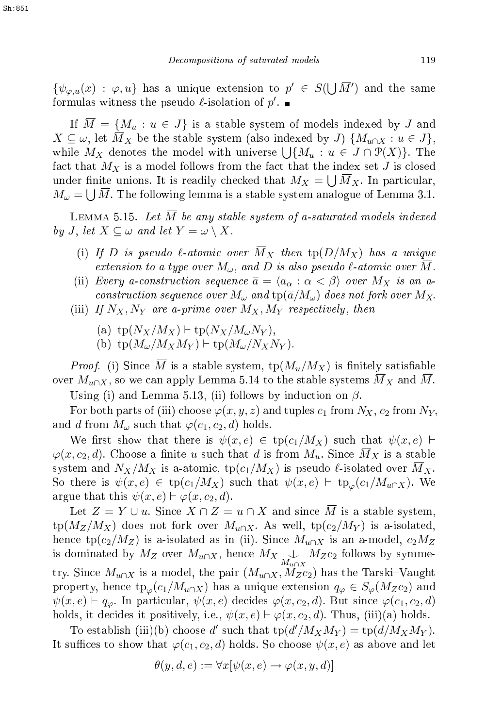$\{\psi_{\varphi,u}(x) : \varphi, u\}$  has a unique extension to  $p' \in S(\bigcup \overline{M}')$  and the same formulas witness the pseudo  $\ell$ -isolation of  $p'$ .

If  $\overline{M} = \{M_u : u \in J\}$  is a stable system of models indexed by J and  $X \subseteq \omega$ , let  $\overline{M}_X$  be the stable system (also indexed by J)  $\{M_{u\cap X} : u \in J\},$ while  $M_X$  denotes the model with universe  $\bigcup \{M_u : u \in J \cap \mathcal{P}(X)\}\)$ . The fact that  $M_X$  is a model follows from the fact that the index set  $J$  is closed under finite unions. It is readily checked that  $M_X = \bigcup \overline{M}_X$ . In particular,  $M_{\omega} = \bigcup \overline{M}$ . The following lemma is a stable system analogue of Lemma 3.1.

LEMMA 5.15. Let  $\overline{M}$  be any stable system of a-saturated models indexed by J, let  $X \subseteq \omega$  and let  $Y = \omega \setminus X$ .

- (i) If D is pseudo  $\ell$ -atomic over  $\overline{M}_X$  then  $tp(D/M_X)$  has a unique extension to a type over  $M_\omega$ , and  $D$  is also pseudo  $\ell$ -atomic over  $M$ .
- (ii) Every a-construction sequence  $\overline{a} = \langle a_{\alpha} : \alpha < \beta \rangle$  over  $M_X$  is an aconstruction sequence over  $M_\omega$  and  $\mathrm{tp}(\overline{a}/M_\omega)$  does not fork over  $M_X$ .
- (iii) If  $N_X, N_Y$  are a-prime over  $M_X, M_Y$  respectively, then
	- (a)  $\text{tp}(N_X/M_X)$  ⊢  $\text{tp}(N_X/M_{\omega}N_Y)$ ,
	- (b)  $\text{tp}(M_{\omega}/M_XM_Y)$  ⊢  $\text{tp}(M_{\omega}/N_XN_Y)$ .

*Proof.* (i) Since M is a stable system,  $\text{tp}(M_u/M_X)$  is finitely satisfiable over  $M_{u\cap X}$ , so we can apply Lemma 5.14 to the stable systems  $M_X$  and M. Using (i) and Lemma 5.13, (ii) follows by induction on  $\beta$ .

For both parts of (iii) choose  $\varphi(x, y, z)$  and tuples  $c_1$  from  $N_X$ ,  $c_2$  from  $N_Y$ , and d from  $M_\omega$  such that  $\varphi(c_1, c_2, d)$  holds.

We first show that there is  $\psi(x,e) \in \text{tp}(c_1/M_X)$  such that  $\psi(x,e)$   $\vdash$  $\varphi(x, c_2, d)$ . Choose a finite u such that d is from  $M_u$ . Since  $\overline{M}_X$  is a stable system and  $N_X/M_X$  is a-atomic, tp( $c_1/M_X$ ) is pseudo  $\ell$ -isolated over  $M_X$ . So there is  $\psi(x,e) \in \text{tp}(c_1/M_X)$  such that  $\psi(x,e) \vdash \text{tp}_{\varphi}(c_1/M_{u\cap X})$ . We argue that this  $\psi(x, e) \vdash \varphi(x, c_2, d)$ .

Let  $Z = Y \cup u$ . Since  $X \cap Z = u \cap X$  and since  $\overline{M}$  is a stable system,  $\text{tp}(M_Z/M_X)$  does not fork over  $M_{u\cap X}$ . As well,  $\text{tp}(c_2/M_Y)$  is a-isolated, hence tp( $c_2/M_Z$ ) is a-isolated as in (ii). Since  $M_{u\cap X}$  is an a-model,  $c_2M_Z$ is dominated by  $M_Z$  over  $M_{u \cap X}$ , hence  $M_X \underset{M_{u \cap X}}{\cup} M_Zc_2$  follows by symmetry. Since  $M_{u\cap X}$  is a model, the pair  $(M_{u\cap X}, M_Zc_2)$  has the Tarski-Vaught property, hence  $tp_{\varphi}(c_1/M_{u\cap X})$  has a unique extension  $q_{\varphi} \in S_{\varphi}(M_Zc_2)$  and  $\psi(x, e) \vdash q_{\varphi}$ . In particular,  $\psi(x, e)$  decides  $\varphi(x, c_2, d)$ . But since  $\varphi(c_1, c_2, d)$ holds, it decides it positively, i.e.,  $\psi(x, e) \vdash \varphi(x, c_2, d)$ . Thus, (iii)(a) holds.

To establish (iii)(b) choose d' such that  $\text{tp}(d'/M_XM_Y) = \text{tp}(d/M_XM_Y)$ . It suffices to show that  $\varphi(c_1, c_2, d)$  holds. So choose  $\psi(x, e)$  as above and let

$$
\theta(y, d, e) := \forall x [\psi(x, e) \to \varphi(x, y, d)]
$$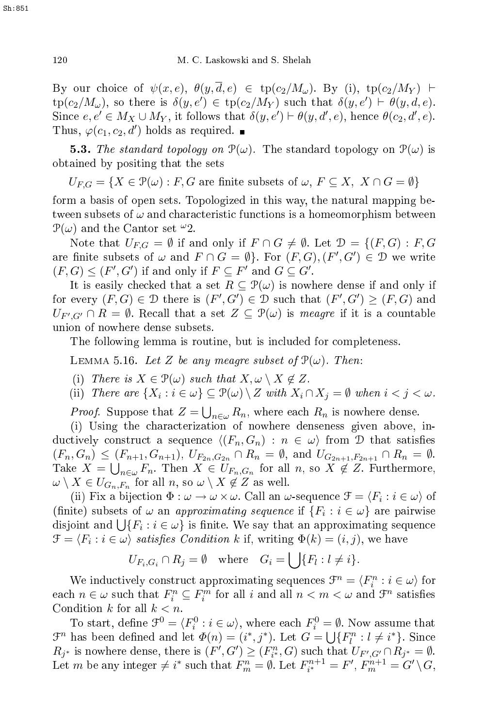By our choice of  $\psi(x, e), \ \theta(y, \overline{d}, e) \in \text{tp}(c_2/M_\omega)$ . By (i),  $\text{tp}(c_2/M_Y)$   $\vdash$  $tp(c_2/M_\omega)$ , so there is  $\delta(y, e') \in tp(c_2/M_Y)$  such that  $\delta(y, e') \vdash \theta(y, d, e)$ . Since  $e, e' \in M_X \cup M_Y$ , it follows that  $\delta(y, e') \vdash \theta(y, d', e)$ , hence  $\theta(c_2, d', e)$ . Thus,  $\varphi(c_1, c_2, d')$  holds as required.

**5.3.** The standard topology on  $\mathcal{P}(\omega)$ . The standard topology on  $\mathcal{P}(\omega)$  is obtained by positing that the sets

 $U_{F,G} = \{X \in \mathcal{P}(\omega) : F, G \text{ are finite subsets of } \omega, F \subseteq X, X \cap G = \emptyset\}$ 

form a basis of open sets. Topologized in this way, the natural mapping between subsets of  $\omega$  and characteristic functions is a homeomorphism between  $\mathcal{P}(\omega)$  and the Cantor set  $\omega_2$ .

Note that  $U_{FG} = \emptyset$  if and only if  $F \cap G \neq \emptyset$ . Let  $\mathcal{D} = \{(F, G) : F, G\}$ are finite subsets of  $\omega$  and  $F \cap G = \emptyset$ . For  $(F, G), (F', G') \in \mathcal{D}$  we write  $(F, G) \leq (F', G')$  if and only if  $F \subseteq F'$  and  $G \subseteq G'$ .

It is easily checked that a set  $R \subseteq \mathcal{P}(\omega)$  is nowhere dense if and only if for every  $(F, G) \in \mathcal{D}$  there is  $(F', G') \in \mathcal{D}$  such that  $(F', G') \geq (F, G)$  and  $U_{F',G'} \cap R = \emptyset$ . Recall that a set  $Z \subseteq \mathcal{P}(\omega)$  is meagre if it is a countable union of nowhere dense subsets.

The following lemma is routine, but is in
luded for ompleteness.

LEMMA 5.16. Let Z be any meagre subset of  $\mathcal{P}(\omega)$ . Then:

- (i) There is  $X \in \mathcal{P}(\omega)$  such that  $X, \omega \setminus X \notin Z$ .
- (ii) There are  $\{X_i : i \in \omega\} \subseteq \mathcal{P}(\omega) \setminus Z$  with  $X_i \cap X_j = \emptyset$  when  $i < j < \omega$ .

*Proof.* Suppose that  $Z = \bigcup_{n \in \omega} R_n$ , where each  $R_n$  is nowhere dense.

(i) Using the characterization of nowhere denseness given above, inductively construct a sequence  $\langle (F_n, G_n) : n \in \omega \rangle$  from D that satisfies  $(F_n, G_n) \leq (F_{n+1}, G_{n+1}), U_{F_{2n}, G_{2n}} \cap R_n = \emptyset$ , and  $U_{G_{2n+1}, F_{2n+1}} \cap R_n = \emptyset$ . Take  $X = \bigcup_{n \in \omega} F_n$ . Then  $X \in U_{F_n, G_n}$  for all n, so  $X \notin Z$ . Furthermore,  $\omega \setminus X \in U_{G_n,F_n}$  for all  $n,$  so  $\omega \setminus X \not\in Z$  as well.

(ii) Fix a bijection  $\Phi : \omega \to \omega \times \omega$ . Call an  $\omega$ -sequence  $\mathcal{F} = \langle F_i : i \in \omega \rangle$  of (finite) subsets of  $\omega$  an *approximating sequence* if  $\{F_i : i \in \omega\}$  are pairwise disjoint and  $\bigcup \{F_i : i \in \omega\}$  is finite. We say that an approximating sequence  $\mathcal{F} = \langle F_i : i \in \omega \rangle$  satisfies Condition k if, writing  $\Phi(k) = (i, j)$ , we have

$$
U_{F_i,G_i} \cap R_j = \emptyset \quad \text{where} \quad G_i = \bigcup \{F_l : l \neq i\}.
$$

We inductively construct approximating sequences  $\mathcal{F}^n = \langle F_i^n : i \in \omega \rangle$  for each  $n \in \omega$  such that  $F_i^n \subseteq F_i^m$  for all i and all  $n < m < \omega$  and  $\mathcal{F}^n$  satisfies Condition  $k$  for all  $k < n$ .

To start, define  $\mathcal{F}^0 = \langle F_i^0 : i \in \omega \rangle$ , where each  $F_i^0 = \emptyset$ . Now assume that  $\mathcal{F}^n$  has been defined and let  $\Phi(n) = (i^*, j^*)$ . Let  $G = \bigcup \{F_l^n : l \neq i^*\}$ . Since  $R_{j^*}$  is nowhere dense, there is  $(F', G') \geq (F_{i^*}^n, G)$  such that  $U_{F', G'} \cap R_{j^*} = \emptyset$ . Let m be any integer  $\neq i^*$  such that  $F_m^n = \emptyset$ . Let  $F_{i^*}^{n+1} = F', F_m^{n+1} = G' \setminus G$ ,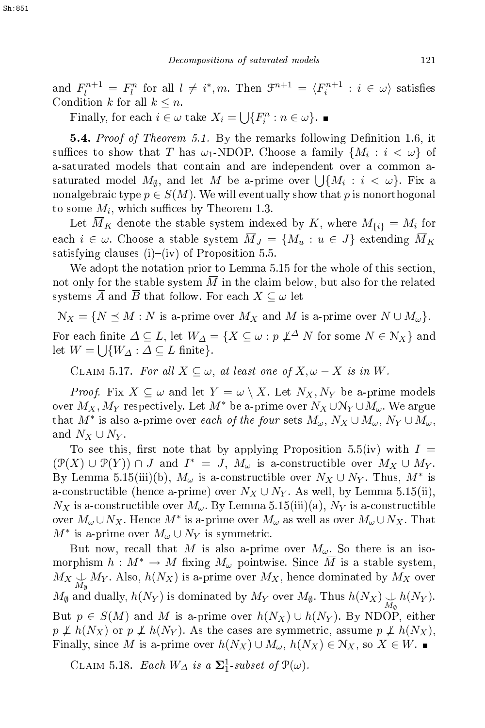and  $F_l^{n+1} = F_l^n$  for all  $l \neq i^*, m$ . Then  $\mathcal{F}^{n+1} = \langle F_i^{n+1} : i \in \omega \rangle$  satisfies Condition k for all  $k \leq n$ .

Finally, for each  $i \in \omega$  take  $X_i = \bigcup \{F_i^n : n \in \omega\}.$ 

**5.4.** Proof of Theorem 5.1. By the remarks following Definition 1.6, it suffices to show that T has  $\omega_1$ -NDOP. Choose a family  $\{M_i : i < \omega\}$  of a-saturated models that ontain and are independent over a ommon asaturated model  $M_{\emptyset}$ , and let M be a-prime over  $\bigcup \{M_i : i < \omega\}$ . Fix a nonalgebraic type  $p \in S(M)$ . We will eventually show that p is nonorthogonal to some  $M_i$ , which suffices by Theorem 1.3.

Let  $\overline{M}_K$  denote the stable system indexed by K, where  $M_{\{i\}} = M_i$  for each  $i \in \omega$ . Choose a stable system  $\overline{M}_J = \{M_u : u \in J\}$  extending  $\overline{M}_K$ satisfying clauses  $(i)$ – $(iv)$  of Proposition 5.5.

We adopt the notation prior to Lemma 5.15 for the whole of this section, not only for the stable system  $\overline{M}$  in the claim below, but also for the related systems  $\overline{A}$  and  $\overline{B}$  that follow. For each  $X \subseteq \omega$  let

 $\mathcal{N}_X = \{ N \leq M : N \text{ is a-prime over } M_X \text{ and } M \text{ is a-prime over } N \cup M_\omega \}.$ For each finite  $\Delta \subseteq L$ , let  $W_{\Delta} = \{ X \subseteq \omega : p \nleq^{\Delta} N \text{ for some } N \in \mathbb{N}_X \}$  and let  $W = \bigcup \{W_{\Delta} : \Delta \subseteq L \text{ finite}\}.$ 

CLAIM 5.17. For all  $X \subseteq \omega$ , at least one of  $X, \omega - X$  is in W.

*Proof.* Fix  $X \subseteq \omega$  and let  $Y = \omega \setminus X$ . Let  $N_X, N_Y$  be a-prime models over  $M_X, M_Y$  respectively. Let  $M^*$  be a-prime over  $N_X \cup N_Y \cup M_\omega$ . We argue that  $M^*$  is also a-prime over *each of the four* sets  $M_\omega$ ,  $N_X \cup M_\omega$ ,  $N_Y \cup M_\omega$ , and  $N_X \cup N_Y.$ 

To see this, first note that by applying Proposition 5.5(iv) with  $I =$  $(\mathcal{P}(X) \cup \mathcal{P}(Y)) \cap J$  and  $I^* = J$ ,  $M_{\omega}$  is a-constructible over  $M_X \cup M_Y$ . By Lemma 5.15(iii)(b),  $M_{\omega}$  is a-constructible over  $N_X \cup N_Y$ . Thus,  $M^*$  is a-constructible (hence a-prime) over  $N_X \cup N_Y$ . As well, by Lemma 5.15(ii),  $N_X$  is a-constructible over  $M_\omega$ . By Lemma 5.15(iii)(a),  $N_Y$  is a-constructible over  $M_{\omega}\cup N_X$ . Hence  $M^*$  is a-prime over  $M_{\omega}$  as well as over  $M_{\omega}\cup N_X$ . That  $M^*$  is a-prime over  $M_\omega \cup N_Y$  is symmetric.

But now, recall that M is also a-prime over  $M_{\omega}$ . So there is an isomorphism  $h: M^* \to M$  fixing  $M_\omega$  pointwise. Since  $\overline{M}$  is a stable system,  $M_X \underset{M_\emptyset}{\cup} M_Y.$  Also,  $h(N_X)$  is a-prime over  $M_X,$  hence dominated by  $M_X$  over  $M_{\emptyset}$  and dually,  $h(N_Y)$  is dominated by  $M_Y$  over  $M_{\emptyset}$ . Thus  $h(N_X) \underset{M_{\emptyset}}{\downarrow} h(N_Y)$ . But  $p \in S(M)$  and M is a-prime over  $h(N_X) \cup h(N_Y)$ . By NDOP, either  $p \not\perp h(N_X)$  or  $p \not\perp h(N_Y)$ . As the cases are symmetric, assume  $p \not\perp h(N_X)$ , Finally, since M is a-prime over  $h(N_X) \cup M_\omega$ ,  $h(N_X) \in N_X$ , so  $X \in W$ . ■

CLAIM 5.18. Each  $W_{\Delta}$  is a  $\Sigma_1^1$ -subset of  $\mathcal{P}(\omega)$ .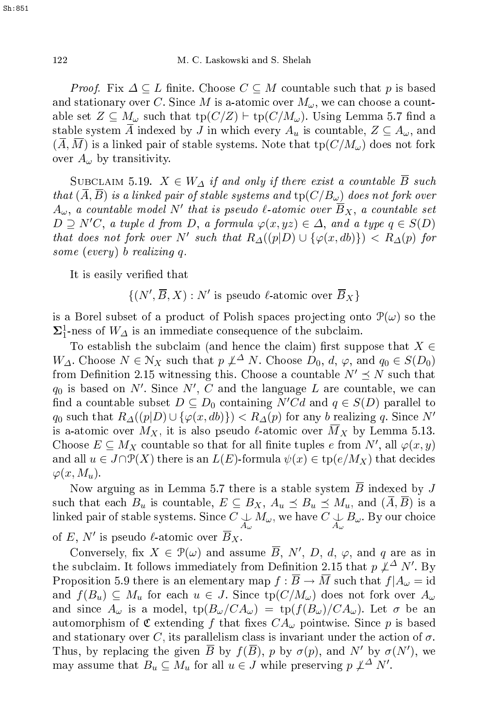*Proof.* Fix  $\Delta \subseteq L$  finite. Choose  $C \subseteq M$  countable such that p is based and stationary over C. Since M is a-atomic over  $M_{\omega}$ , we can choose a countable set  $Z \subseteq M_\omega$  such that  $\text{tp}(C/Z) \vdash \text{tp}(C/M_\omega)$ . Using Lemma 5.7 find a stable system  $\overline{A}$  indexed by J in which every  $A_u$  is countable,  $Z \subseteq A_\omega$ , and  $(A, M)$  is a linked pair of stable systems. Note that  $\text{tp}(C/M_\omega)$  does not fork over  $A_{\omega}$  by transitivity.

SUBCLAIM 5.19.  $X \in W_{\Delta}$  if and only if there exist a countable  $\overline{B}$  such that  $(A, B)$  is a linked pair of stable systems and  $\text{tp}(C/B_\omega)$  does not fork over  $A_\omega,$  a countable model  $N'$  that is pseudo  $\ell\textrm{-}atomic$  over  $\overline{B}_X,$  a countable set  $D \supseteq N'C$ , a tuple d from D, a formula  $\varphi(x,yz) \in \Delta$ , and a type  $q \in S(D)$ that does not fork over N' such that  $R_{\Delta}((p|D) \cup {\varphi(x, db)} )$  <  $R_{\Delta}(p)$  for some (every) b realizing  $q$ .

It is easily verified that

$$
\{(N', \overline{B}, X) : N' \text{ is pseudo } \ell\text{-atomic over } \overline{B}_X\}
$$

is a Borel subset of a product of Polish spaces projecting onto  $\mathcal{P}(\omega)$  so the  $\Sigma^1$ -ness of  $W_\Delta$  is an immediate consequence of the subclaim.

To establish the subclaim (and hence the claim) first suppose that  $X \in$  $W_{\Delta}$ . Choose  $N \in \mathcal{N}_X$  such that  $p \nleq^{\Delta} N$ . Choose  $D_0, d, \varphi$ , and  $q_0 \in S(D_0)$ from Definition 2.15 witnessing this. Choose a countable  $N' \leq N$  such that  $q_0$  is based on  $N'$ . Since  $N', C$  and the language  $L$  are countable, we can find a countable subset  $D \subseteq D_0$  containing  $N'Cd$  and  $q \in S(D)$  parallel to  $q_0$  such that  $R_{\Delta}(p|D) \cup {\varphi(x, db)} > R_{\Delta}(p)$  for any b realizing q. Since N' is a-atomic over  $M_X$ , it is also pseudo  $\ell$ -atomic over  $\overline{M}_X$  by Lemma 5.13. Choose  $E \subseteq M_X$  countable so that for all finite tuples e from  $N'$ , all  $\varphi(x, y)$ and all  $u \in J \cap \mathcal{P}(X)$  there is an  $L(E)$ -formula  $\psi(x) \in \operatorname{tp}(e/M_X)$  that decides  $\varphi(x, M_u)$ .

Now arguing as in Lemma 5.7 there is a stable system  $\overline{B}$  indexed by J such that each  $B_u$  is countable,  $E \subseteq B_X$ ,  $A_u \preceq B_u \preceq M_u$ , and  $(\overline{A}, \overline{B})$  is a linked pair of stable systems. Since  $C\!\!\downarrow_{A_\omega}\! M_\omega$ , we have  $C\!\!\downarrow_{A_\omega}\! B_\omega$ . By our choice of E,  $N'$  is pseudo  $\ell$ -atomic over  $\overline{B}_X$ .

Conversely, fix  $X \in \mathcal{P}(\omega)$  and assume  $\overline{B}$ , N', D, d,  $\varphi$ , and q are as in the subclaim. It follows immediately from Definition 2.15 that  $p \not\perp^\Delta N'.$  By Proposition 5.9 there is an elementary map  $f : \overline{B} \to \overline{M}$  such that  $f|A_{\omega} = id$ and  $f(B_u) \subseteq M_u$  for each  $u \in J$ . Since  $tp(C/M_\omega)$  does not fork over  $A_\omega$ and since  $A_{\omega}$  is a model,  $\text{tp}(B_{\omega}/CA_{\omega}) = \text{tp}(f(B_{\omega})/CA_{\omega})$ . Let  $\sigma$  be an automorphism of  $\mathfrak C$  extending f that fixes  $CA_{\omega}$  pointwise. Since p is based and stationary over C, its parallelism class is invariant under the action of  $\sigma.$ Thus, by replacing the given  $\overline{B}$  by  $f(\overline{B})$ , p by  $\sigma(p)$ , and N' by  $\sigma(N')$ , we may assume that  $B_u \subseteq M_u$  for all  $u \in J$  while preserving  $p \not\perp^{\Delta} N'$ .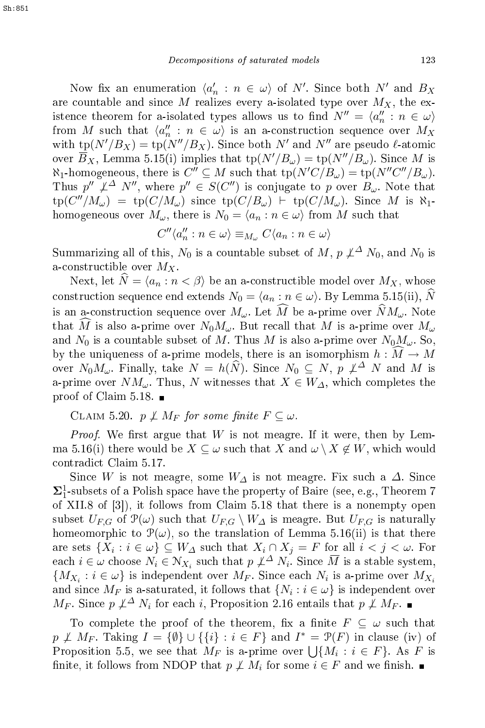Now fix an enumeration  $\langle a'_n : n \in \omega \rangle$  of N'. Since both N' and  $B_X$ are countable and since M realizes every a-isolated type over  $M_X$ , the existence theorem for a-isolated types allows us to find  $N'' = \langle a_n'' : n \in \omega \rangle$ from M such that  $\langle a''_n : n \in \omega \rangle$  is an a-construction sequence over  $M_X$ with  $\text{tp}(N'/B_X) = \text{tp}(N''/B_X)$ . Since both N' and N'' are pseudo l-atomic over  $\overline{B}_X$ , Lemma 5.15(i) implies that  $\text{tp}(N'/B_\omega) = \text{tp}(N''/B_\omega)$ . Since M is  $\aleph_1$ -homogeneous, there is  $C'' \subseteq M$  such that  $\text{tp}(N'C/B_\omega) = \text{tp}(N''C''/B_\omega)$ . Thus  $p'' \not\perp^{\Delta} N''$ , where  $p'' \in S(C'')$  is conjugate to p over  $B_{\omega}$ . Note that  $\mathrm{tp}(C''/M_{\omega}) = \mathrm{tp}(C/M_{\omega})$  since  $\mathrm{tp}(C/B_{\omega})$   $\vdash \mathrm{tp}(C/M_{\omega})$ . Since M is  $\aleph_1$ homogeneous over  $M_{\omega}$ , there is  $N_0 = \langle a_n : n \in \omega \rangle$  from M such that

$$
C''\langle a_n'' : n \in \omega \rangle \equiv_{M_\omega} C\langle a_n : n \in \omega \rangle
$$

Summarizing all of this,  $N_0$  is a countable subset of M,  $p \not\perp^{\Delta} N_0$ , and  $N_0$  is a-constructible over  $M_X$ .

Next, let  $\hat{N} = \langle a_n : n \leq \beta \rangle$  be an a-constructible model over  $M_X$ , whose construction sequence end extends  $N_0 = \langle a_n : n \in \omega \rangle$ . By Lemma 5.15(ii),  $\widehat{N}$ is an a-construction sequence over  $M_{\omega}$ . Let  $\widehat{M}$  be a-prime over  $\widehat{N}M_{\omega}$ . Note that  $\widehat{M}$  is also a-prime over  $N_0M_{\omega}$ . But recall that M is a-prime over  $M_{\omega}$ and  $N_0$  is a countable subset of M. Thus M is also a-prime over  $N_0M_\omega$ . So, by the uniqueness of a-prime models, there is an isomorphism  $h : \widehat{M} \to M$ over  $N_0 M_\omega$ . Finally, take  $N = h(\widehat{N})$ . Since  $N_0 \subseteq N$ ,  $p \not\perp^{\Delta} N$  and M is a-prime over  $NM_\omega$ . Thus, N witnesses that  $X \in W_\Delta$ , which completes the proof of Claim 5.18.

CLAIM 5.20.  $p \not\perp M_F$  for some finite  $F \subseteq \omega$ .

*Proof.* We first argue that  $W$  is not meagre. If it were, then by Lemma 5.16(i) there would be  $X \subseteq \omega$  such that X and  $\omega \setminus X \notin W$ , which would ontradi
t Claim 5.17.

Since  $W$  is not meagre, some  $W_{\varDelta}$  is not meagre. Fix such a  $\varDelta$ . Since  $\Sigma^1_1$ -subsets of a Polish space have the property of Baire (see, e.g., Theorem 7 of XII.8 of  $\vert 3 \vert$ , it follows from Claim 5.18 that there is a nonempty open subset  $U_{F,G}$  of  $\mathcal{P}(\omega)$  such that  $U_{F,G} \setminus W_{\Delta}$  is meagre. But  $U_{F,G}$  is naturally homeomorphic to  $\mathcal{P}(\omega)$ , so the translation of Lemma 5.16(ii) is that there are sets  $\{X_i : i \in \omega\} \subseteq W_{\varDelta}$  such that  $X_i \cap X_j = F$  for all  $i < j < \omega$ . For each  $i \in \omega$  choose  $N_i \in \mathcal{N}_{X_i}$  such that  $p \not\perp^{\Delta} N_i$ . Since  $\overline{M}$  is a stable system,  $\{M_{X_i} : i \in \omega\}$  is independent over  $M_F$ . Since each  $N_i$  is a-prime over  $M_{X_i}$ and since  $M_F$  is a-saturated, it follows that  $\{N_i : i \in \omega\}$  is independent over  $M_F$ . Since  $p \not\perp^{\Delta} N_i$  for each i, Proposition 2.16 entails that  $p \not\perp M_F$ .

To complete the proof of the theorem, fix a finite  $F \subseteq \omega$  such that  $p \not\perp M_F$ . Taking  $I = \{\emptyset\} \cup \{\{i\} : i \in F\}$  and  $I^* = \mathcal{P}(F)$  in clause (iv) of Proposition 5.5, we see that  $M_F$  is a-prime over  $\bigcup \{M_i : i \in F\}$ . As F is finite, it follows from NDOP that  $p \not\perp M_i$  for some  $i \in F$  and we finish.  $\blacksquare$